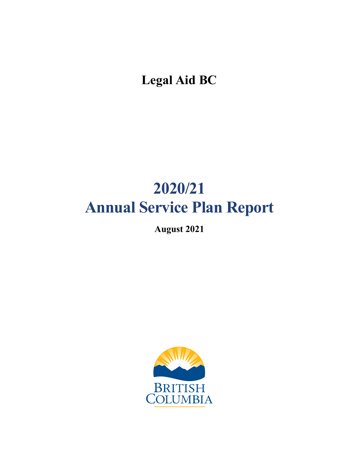**Legal Aid BC**

# **2020/21 Annual Service Plan Report**

**August 2021** 

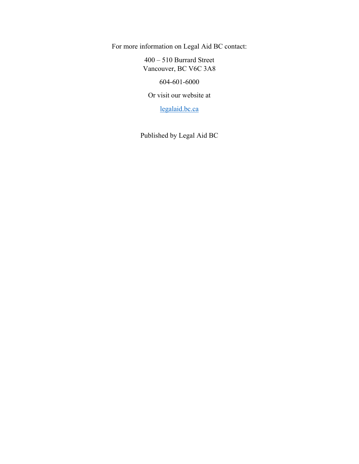For more information on Legal Aid BC contact:

400 – 510 Burrard Street Vancouver, BC V6C 3A8

604-601-6000

Or visit our website at

[legalaid.bc.ca](https://lss.bc.ca/)

Published by Legal Aid BC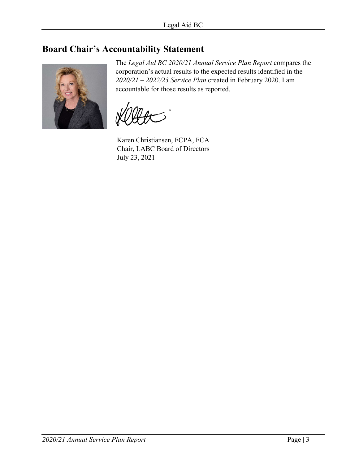# <span id="page-2-0"></span>**Board Chair's Accountability Statement**



The *Legal Aid BC 2020/21 Annual Service Plan Report* compares the corporation's actual results to the expected results identified in the *2020/21 – 2022/23 Service Plan* created in February 2020. I am accountable for those results as reported.

Karen Christiansen, FCPA, FCA Chair, LABC Board of Directors July 23, 2021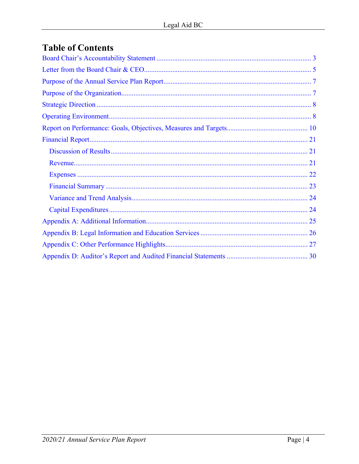# **Table of Contents**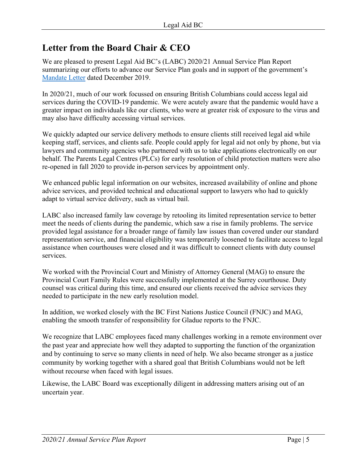# <span id="page-4-0"></span>**Letter from the Board Chair & CEO**

We are pleased to present Legal Aid BC's (LABC) 2020/21 Annual Service Plan Report summarizing our efforts to advance our Service Plan goals and in support of the government's [Mandate Letter](https://lss.bc.ca/sites/default/files/inline-files/2020_2021_MandateLetter_0.pdf) dated December 2019.

In 2020/21, much of our work focussed on ensuring British Columbians could access legal aid services during the COVID-19 pandemic. We were acutely aware that the pandemic would have a greater impact on individuals like our clients, who were at greater risk of exposure to the virus and may also have difficulty accessing virtual services.

We quickly adapted our service delivery methods to ensure clients still received legal aid while keeping staff, services, and clients safe. People could apply for legal aid not only by phone, but via lawyers and community agencies who partnered with us to take applications electronically on our behalf. The Parents Legal Centres (PLCs) for early resolution of child protection matters were also re-opened in fall 2020 to provide in-person services by appointment only.

We enhanced public legal information on our websites, increased availability of online and phone advice services, and provided technical and educational support to lawyers who had to quickly adapt to virtual service delivery, such as virtual bail.

LABC also increased family law coverage by retooling its limited representation service to better meet the needs of clients during the pandemic, which saw a rise in family problems. The service provided legal assistance for a broader range of family law issues than covered under our standard representation service, and financial eligibility was temporarily loosened to facilitate access to legal assistance when courthouses were closed and it was difficult to connect clients with duty counsel services.

We worked with the Provincial Court and Ministry of Attorney General (MAG) to ensure the Provincial Court Family Rules were successfully implemented at the Surrey courthouse. Duty counsel was critical during this time, and ensured our clients received the advice services they needed to participate in the new early resolution model.

In addition, we worked closely with the BC First Nations Justice Council (FNJC) and MAG, enabling the smooth transfer of responsibility for Gladue reports to the FNJC.

We recognize that LABC employees faced many challenges working in a remote environment over the past year and appreciate how well they adapted to supporting the function of the organization and by continuing to serve so many clients in need of help. We also became stronger as a justice community by working together with a shared goal that British Columbians would not be left without recourse when faced with legal issues.

Likewise, the LABC Board was exceptionally diligent in addressing matters arising out of an uncertain year.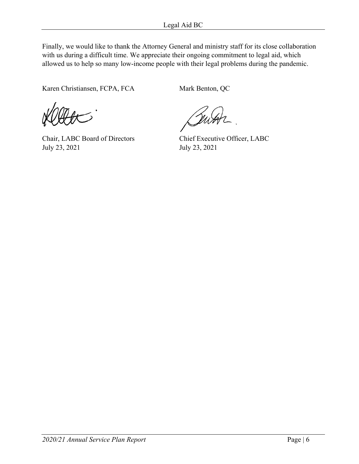Finally, we would like to thank the Attorney General and ministry staff for its close collaboration with us during a difficult time. We appreciate their ongoing commitment to legal aid, which allowed us to help so many low-income people with their legal problems during the pandemic.

Karen Christiansen, FCPA, FCA Mark Benton, QC

Chair, LABC Board of Directors Chief Executive Officer, LABC July 23, 2021 July 23, 2021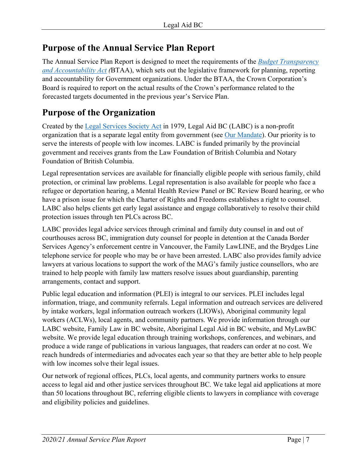# <span id="page-6-0"></span>**Purpose of the Annual Service Plan Report**

The Annual Service Plan Report is designed to meet the requirements of the *[Budget Transparency](http://www.bclaws.ca/civix/document/id/complete/statreg/00023_01#section16)  [and Accountability Act](http://www.bclaws.ca/civix/document/id/complete/statreg/00023_01#section16) (*BTAA), which sets out the legislative framework for planning, reporting and accountability for Government organizations. Under the BTAA, the Crown Corporation's Board is required to report on the actual results of the Crown's performance related to the forecasted targets documented in the previous year's Service Plan.

# <span id="page-6-1"></span>**Purpose of the Organization**

Created by the [Legal Services Society Act](http://www.bclaws.ca/civix/document/id/complete/statreg/02030_01) in 1979, Legal Aid BC (LABC) is a non-profit organization that is a separate legal entity from government (see [Our Mandate\)](https://legalaid.bc.ca/about/ourMandate). Our priority is to serve the interests of people with low incomes. LABC is funded primarily by the provincial government and receives grants from the Law Foundation of British Columbia and Notary Foundation of British Columbia.

Legal representation services are available for financially eligible people with serious family, child protection, or criminal law problems. Legal representation is also available for people who face a refugee or deportation hearing, a Mental Health Review Panel or BC Review Board hearing, or who have a prison issue for which the Charter of Rights and Freedoms establishes a right to counsel. LABC also helps clients get early legal assistance and engage collaboratively to resolve their child protection issues through ten PLCs across BC.

LABC provides legal advice services through criminal and family duty counsel in and out of courthouses across BC, immigration duty counsel for people in detention at the Canada Border Services Agency's enforcement centre in Vancouver, the Family LawLINE, and the Brydges Line telephone service for people who may be or have been arrested. LABC also provides family advice lawyers at various locations to support the work of the MAG's family justice counsellors, who are trained to help people with family law matters resolve issues about guardianship, parenting arrangements, contact and support.

Public legal education and information (PLEI) is integral to our services. PLEI includes legal information, triage, and community referrals. Legal information and outreach services are delivered by intake workers, legal information outreach workers (LIOWs), Aboriginal community legal workers (ACLWs), local agents, and community partners. We provide information through our LABC website, Family Law in BC website, Aboriginal Legal Aid in BC website, and MyLawBC website. We provide legal education through training workshops, conferences, and webinars, and produce a wide range of publications in various languages, that readers can order at no cost. We reach hundreds of intermediaries and advocates each year so that they are better able to help people with low incomes solve their legal issues.

Our network of regional offices, PLCs, local agents, and community partners works to ensure access to legal aid and other justice services throughout BC. We take legal aid applications at more than 50 locations throughout BC, referring eligible clients to lawyers in compliance with coverage and eligibility policies and guidelines.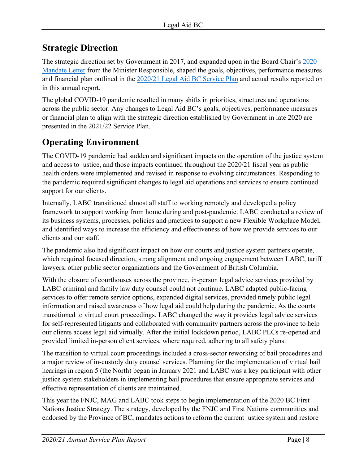# <span id="page-7-0"></span>**Strategic Direction**

The strategic direction set by Government in 2017, and expanded upon in the Board Chair's [2020](https://legalaid.bc.ca/sites/default/files/inline-files/2020_2021_MandateLetter_0.pdf)  [Mandate Letter](https://legalaid.bc.ca/sites/default/files/inline-files/2020_2021_MandateLetter_0.pdf) from the Minister Responsible, shaped the goals, objectives, performance measures and financial plan outlined in the [2020/21 Legal Aid BC](https://legalaid.bc.ca/node/16000) Service Plan and actual results reported on in this annual report.

The global COVID-19 pandemic resulted in many shifts in priorities, structures and operations across the public sector. Any changes to Legal Aid BC's goals, objectives, performance measures or financial plan to align with the strategic direction established by Government in late 2020 are presented in the 2021/22 Service Plan.

# <span id="page-7-1"></span>**Operating Environment**

The COVID-19 pandemic had sudden and significant impacts on the operation of the justice system and access to justice, and those impacts continued throughout the 2020/21 fiscal year as public health orders were implemented and revised in response to evolving circumstances. Responding to the pandemic required significant changes to legal aid operations and services to ensure continued support for our clients.

Internally, LABC transitioned almost all staff to working remotely and developed a policy framework to support working from home during and post-pandemic. LABC conducted a review of its business systems, processes, policies and practices to support a new Flexible Workplace Model, and identified ways to increase the efficiency and effectiveness of how we provide services to our clients and our staff.

The pandemic also had significant impact on how our courts and justice system partners operate, which required focused direction, strong alignment and ongoing engagement between LABC, tariff lawyers, other public sector organizations and the Government of British Columbia.

With the closure of courthouses across the province, in-person legal advice services provided by LABC criminal and family law duty counsel could not continue. LABC adapted public-facing services to offer remote service options, expanded digital services, provided timely public legal information and raised awareness of how legal aid could help during the pandemic. As the courts transitioned to virtual court proceedings, LABC changed the way it provides legal advice services for self-represented litigants and collaborated with community partners across the province to help our clients access legal aid virtually. After the initial lockdown period, LABC PLCs re-opened and provided limited in-person client services, where required, adhering to all safety plans.

The transition to virtual court proceedings included a cross-sector reworking of bail procedures and a major review of in-custody duty counsel services. Planning for the implementation of virtual bail hearings in region 5 (the North) began in January 2021 and LABC was a key participant with other justice system stakeholders in implementing bail procedures that ensure appropriate services and effective representation of clients are maintained.

This year the FNJC, MAG and LABC took steps to begin implementation of the 2020 BC First Nations Justice Strategy. The strategy, developed by the FNJC and First Nations communities and endorsed by the Province of BC, mandates actions to reform the current justice system and restore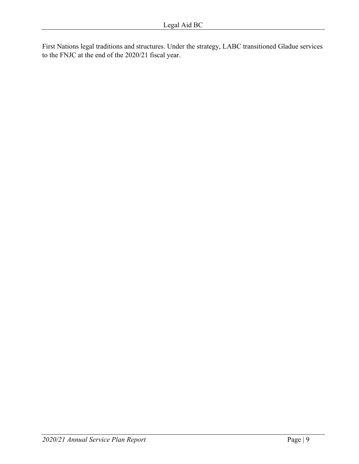First Nations legal traditions and structures. Under the strategy, LABC transitioned Gladue services to the FNJC at the end of the 2020/21 fiscal year.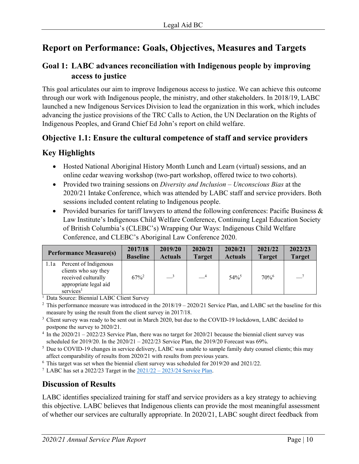# <span id="page-9-0"></span>**Report on Performance: Goals, Objectives, Measures and Targets**

# **Goal 1: LABC advances reconciliation with Indigenous people by improving access to justice**

This goal articulates our aim to improve Indigenous access to justice. We can achieve this outcome through our work with Indigenous people, the ministry, and other stakeholders. In 2018/19, LABC launched a new Indigenous Services Division to lead the organization in this work, which includes advancing the justice provisions of the TRC Calls to Action, the UN Declaration on the Rights of Indigenous Peoples, and Grand Chief Ed John's report on child welfare.

# **Objective 1.1: Ensure the cultural competence of staff and service providers**

# **Key Highlights**

- Hosted National Aboriginal History Month Lunch and Learn (virtual) sessions, and an online cedar weaving workshop (two-part workshop, offered twice to two cohorts).
- Provided two training sessions on *Diversity and Inclusion Unconscious Bias* at the 2020/21 Intake Conference, which was attended by LABC staff and service providers. Both sessions included content relating to Indigenous people.
- Provided bursaries for tariff lawyers to attend the following conferences: Pacific Business & Law Institute's Indigenous Child Welfare Conference, Continuing Legal Education Society of British Columbia's (CLEBC's) Wrapping Our Ways: Indigenous Child Welfare Conference, and CLEBC's Aboriginal Law Conference 2020.

| <b>Performance Measure(s)</b>                                                                                                  | 2017/18             | 2019/20               | 2020/21       | 2020/21             | 2021/22       | 2022/23       |
|--------------------------------------------------------------------------------------------------------------------------------|---------------------|-----------------------|---------------|---------------------|---------------|---------------|
|                                                                                                                                | <b>Baseline</b>     | <b>Actuals</b>        | <b>Target</b> | <b>Actuals</b>      | <b>Target</b> | <b>Target</b> |
| Percent of Indigenous<br>l.la<br>clients who say they<br>received culturally<br>appropriate legal aid<br>services <sup>1</sup> | $67\%$ <sup>2</sup> | $\equiv$ <sup>3</sup> | $-4$          | $54\%$ <sup>5</sup> | 70%           | $-7$          |

<sup>1</sup> Data Source: Biennial LABC Client Survey

<sup>2</sup> This performance measure was introduced in the  $2018/19 - 2020/21$  Service Plan, and LABC set the baseline for this measure by using the result from the client survey in 2017/18.

<sup>3</sup> Client survey was ready to be sent out in March 2020, but due to the COVID-19 lockdown, LABC decided to postpone the survey to 2020/21.

<sup>4</sup> In the 2020/21 – 2022/23 Service Plan, there was no target for 2020/21 because the biennial client survey was scheduled for 2019/20. In the 2020/21 – 2022/23 Service Plan, the 2019/20 Forecast was 69%.

<sup>5</sup> Due to COVID-19 changes in service delivery, LABC was unable to sample family duty counsel clients; this may affect comparability of results from 2020/21 with results from previous years.

<sup>6</sup> This target was set when the biennial client survey was scheduled for 2019/20 and 2021/22.<br><sup>7</sup> LABC has set a 2022/23 Target in the 2021/22 – 2023/24 Service Plan

<sup>7</sup> LABC has set a 2022/23 Target in the  $2021/22 - 2023/24$  Service Plan.

# **Discussion of Results**

LABC identifies specialized training for staff and service providers as a key strategy to achieving this objective. LABC believes that Indigenous clients can provide the most meaningful assessment of whether our services are culturally appropriate. In 2020/21, LABC sought direct feedback from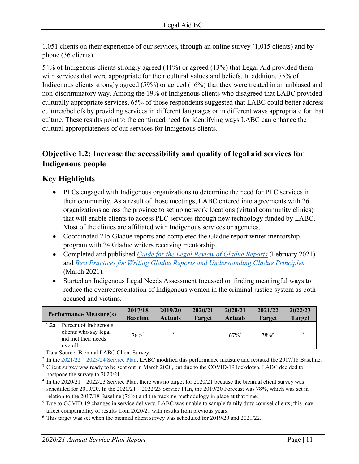1,051 clients on their experience of our services, through an online survey (1,015 clients) and by phone (36 clients).

54% of Indigenous clients strongly agreed (41%) or agreed (13%) that Legal Aid provided them with services that were appropriate for their cultural values and beliefs. In addition, 75% of Indigenous clients strongly agreed (59%) or agreed (16%) that they were treated in an unbiased and non-discriminatory way. Among the 19% of Indigenous clients who disagreed that LABC provided culturally appropriate services, 65% of those respondents suggested that LABC could better address cultures/beliefs by providing services in different languages or in different ways appropriate for that culture. These results point to the continued need for identifying ways LABC can enhance the cultural appropriateness of our services for Indigenous clients.

# **Objective 1.2: Increase the accessibility and quality of legal aid services for Indigenous people**

# **Key Highlights**

- PLCs engaged with Indigenous organizations to determine the need for PLC services in their community. As a result of those meetings, LABC entered into agreements with 26 organizations across the province to set up network locations (virtual community clinics) that will enable clients to access PLC services through new technology funded by LABC. Most of the clinics are affiliated with Indigenous services or agencies.
- Coordinated 215 Gladue reports and completed the Gladue report writer mentorship program with 24 Gladue writers receiving mentorship.
- Completed and published *[Guide for the Legal Review of Gladue Reports](https://legalaid.bc.ca/publications/pub/guide-legal-review-gladue-reports)* (February 2021) and *[Best Practices for Writing Gladue Reports and Understanding Gladue Principles](https://legalaid.bc.ca/publications/pub/best-practices-writing-gladue-reports-and-understanding-gladue-principles)* (March 2021).
- Started an Indigenous Legal Needs Assessment focussed on finding meaningful ways to reduce the overrepresentation of Indigenous women in the criminal justice system as both accused and victims.

| <b>Performance Measure(s)</b>                                                                         | 2017/18         | 2019/20                  | 2020/21       | 2020/21             | 2021/22       | 2022/23       |
|-------------------------------------------------------------------------------------------------------|-----------------|--------------------------|---------------|---------------------|---------------|---------------|
|                                                                                                       | <b>Baseline</b> | <b>Actuals</b>           | <b>Target</b> | <b>Actuals</b>      | <b>Target</b> | <b>Target</b> |
| Percent of Indigenous<br>1.2a<br>clients who say legal<br>aid met their needs<br>overall <sup>1</sup> | $76\%^2$        | $\overline{\phantom{a}}$ | $-4$          | $67\%$ <sup>5</sup> | 78%           | $-7$          |

<sup>1</sup> Data Source: Biennial LABC Client Survey

<sup>2</sup> In the  $2021/22 - 2023/24$  Service Plan, LABC modified this performance measure and restated the 2017/18 Baseline.

<sup>3</sup> Client survey was ready to be sent out in March 2020, but due to the COVID-19 lockdown, LABC decided to postpone the survey to 2020/21.

<sup>4</sup> In the 2020/21 – 2022/23 Service Plan, there was no target for 2020/21 because the biennial client survey was scheduled for 2019/20. In the  $2020/21 - 2022/23$  Service Plan, the 2019/20 Forecast was 78%, which was set in relation to the 2017/18 Baseline (76%) and the tracking methodology in place at that time.

<sup>5</sup> Due to COVID-19 changes in service delivery, LABC was unable to sample family duty counsel clients; this may affect comparability of results from 2020/21 with results from previous years.

 $6$  This target was set when the biennial client survey was scheduled for 2019/20 and 2021/22.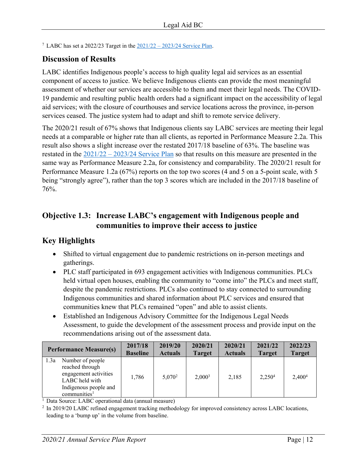<sup>7</sup> LABC has set a 2022/23 Target in the  $\frac{2021}{22} - \frac{2023}{24}$  Service Plan.

# **Discussion of Results**

LABC identifies Indigenous people's access to high quality legal aid services as an essential component of access to justice. We believe Indigenous clients can provide the most meaningful assessment of whether our services are accessible to them and meet their legal needs. The COVID-19 pandemic and resulting public health orders had a significant impact on the accessibility of legal aid services; with the closure of courthouses and service locations across the province, in-person services ceased. The justice system had to adapt and shift to remote service delivery.

The 2020/21 result of 67% shows that Indigenous clients say LABC services are meeting their legal needs at a comparable or higher rate than all clients, as reported in Performance Measure 2.2a. This result also shows a slight increase over the restated 2017/18 baseline of 63%. The baseline was restated in the  $\frac{2021}{22} - \frac{2023}{24}$  Service Plan so that results on this measure are presented in the same way as Performance Measure 2.2a, for consistency and comparability. The 2020/21 result for Performance Measure 1.2a (67%) reports on the top two scores (4 and 5 on a 5-point scale, with 5 being "strongly agree"), rather than the top 3 scores which are included in the 2017/18 baseline of 76%.

# **Objective 1.3: Increase LABC's engagement with Indigenous people and communities to improve their access to justice**

# **Key Highlights**

- Shifted to virtual engagement due to pandemic restrictions on in-person meetings and gatherings.
- PLC staff participated in 693 engagement activities with Indigenous communities. PLCs held virtual open houses, enabling the community to "come into" the PLCs and meet staff, despite the pandemic restrictions. PLCs also continued to stay connected to surrounding Indigenous communities and shared information about PLC services and ensured that communities knew that PLCs remained "open" and able to assist clients.
- Established an Indigenous Advisory Committee for the Indigenous Legal Needs Assessment, to guide the development of the assessment process and provide input on the recommendations arising out of the assessment data.

|      | <b>Performance Measure(s)</b>                                                                                                       | 2017/18<br><b>Baseline</b> | 2019/20<br><b>Actuals</b> | 2020/21<br><b>Target</b> | 2020/21<br><b>Actuals</b> | 2021/22<br><b>Target</b> | 2022/23<br><b>Target</b> |
|------|-------------------------------------------------------------------------------------------------------------------------------------|----------------------------|---------------------------|--------------------------|---------------------------|--------------------------|--------------------------|
| 1.3a | Number of people<br>reached through<br>engagement activities<br>LABC held with<br>Indigenous people and<br>communities <sup>1</sup> | 1,786                      | $5,070^2$                 | $2,000^3$                | 2,185                     | 2,250 <sup>4</sup>       | 2,400 <sup>4</sup>       |

<sup>1</sup> Data Source: LABC operational data (annual measure)

 $2 \text{ In } 2019/20 \text{ LABC}$  refined engagement tracking methodology for improved consistency across LABC locations, leading to a 'bump up' in the volume from baseline.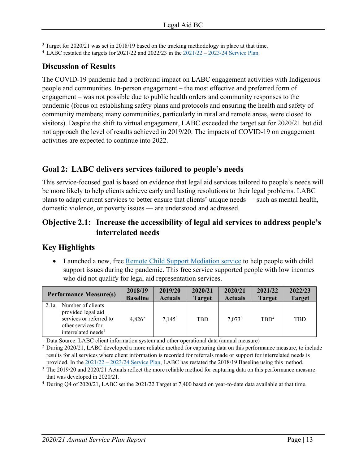<sup>3</sup> Target for 2020/21 was set in 2018/19 based on the tracking methodology in place at that time.

LABC restated the targets for 2021/22 and 2022/23 in the [2021/22 – 2023/24 Service Plan.](https://legalaid.bc.ca/node/25359)

# **Discussion of Results**

The COVID-19 pandemic had a profound impact on LABC engagement activities with Indigenous people and communities. In-person engagement – the most effective and preferred form of engagement – was not possible due to public health orders and community responses to the pandemic (focus on establishing safety plans and protocols and ensuring the health and safety of community members; many communities, particularly in rural and remote areas, were closed to visitors). Despite the shift to virtual engagement, LABC exceeded the target set for 2020/21 but did not approach the level of results achieved in 2019/20. The impacts of COVID-19 on engagement activities are expected to continue into 2022.

# **Goal 2: LABC delivers services tailored to people's needs**

This service-focused goal is based on evidence that legal aid services tailored to people's needs will be more likely to help clients achieve early and lasting resolutions to their legal problems. LABC plans to adapt current services to better ensure that clients' unique needs — such as mental health, domestic violence, or poverty issues — are understood and addressed.

# **Objective 2.1: Increase the accessibility of legal aid services to address people's interrelated needs**

# **Key Highlights**

• Launched a new, free [Remote Child Support Mediation service](https://lss.bc.ca/lawyers/news/new-remote-child-support-mediation-service) to help people with child support issues during the pandemic. This free service supported people with low incomes who did not qualify for legal aid representation services.

| <b>Performance Measure(s)</b>                                                                                                       | 2018/19         | 2019/20            | 2020/21       | 2020/21        | 2021/22          | 2022/23       |
|-------------------------------------------------------------------------------------------------------------------------------------|-----------------|--------------------|---------------|----------------|------------------|---------------|
|                                                                                                                                     | <b>Baseline</b> | <b>Actuals</b>     | <b>Target</b> | <b>Actuals</b> | <b>Target</b>    | <b>Target</b> |
| Number of clients<br>2.1a<br>provided legal aid<br>services or referred to<br>other services for<br>interrelated needs <sup>1</sup> | $4,826^2$       | 7.145 <sup>3</sup> | <b>TBD</b>    | $7,073^3$      | TBD <sup>4</sup> | <b>TBD</b>    |

<sup>1</sup> Data Source: LABC client information system and other operational data (annual measure)

<sup>2</sup> During 2020/21, LABC developed a more reliable method for capturing data on this performance measure, to include results for all services where client information is recorded for referrals made or support for interrelated needs is provided. In the  $\frac{2021}{22} - \frac{2023}{24}$  Service Plan, LABC has restated the 2018/19 Baseline using this method.

<sup>3</sup> The 2019/20 and 2020/21 Actuals reflect the more reliable method for capturing data on this performance measure that was developed in 2020/21. 4

During Q4 of 2020/21, LABC set the 2021/22 Target at 7,400 based on year-to-date data available at that time.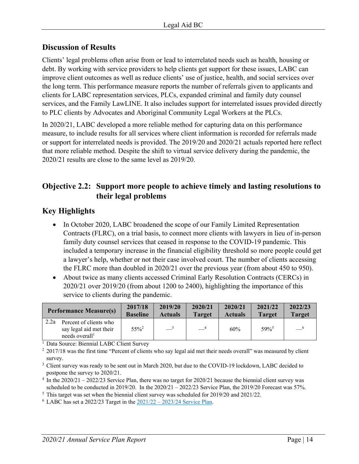# **Discussion of Results**

Clients' legal problems often arise from or lead to interrelated needs such as health, housing or debt. By working with service providers to help clients get support for these issues, LABC can improve client outcomes as well as reduce clients' use of justice, health, and social services over the long term. This performance measure reports the number of referrals given to applicants and clients for LABC representation services, PLCs, expanded criminal and family duty counsel services, and the Family LawLINE. It also includes support for interrelated issues provided directly to PLC clients by Advocates and Aboriginal Community Legal Workers at the PLCs.

In 2020/21, LABC developed a more reliable method for capturing data on this performance measure, to include results for all services where client information is recorded for referrals made or support for interrelated needs is provided. The 2019/20 and 2020/21 actuals reported here reflect that more reliable method. Despite the shift to virtual service delivery during the pandemic, the 2020/21 results are close to the same level as 2019/20.

# **Objective 2.2: Support more people to achieve timely and lasting resolutions to their legal problems**

# **Key Highlights**

- In October 2020, LABC broadened the scope of our Family Limited Representation Contracts (FLRC), on a trial basis, to connect more clients with lawyers in lieu of in-person family duty counsel services that ceased in response to the COVID-19 pandemic. This included a temporary increase in the financial eligibility threshold so more people could get a lawyer's help, whether or not their case involved court. The number of clients accessing the FLRC more than doubled in 2020/21 over the previous year (from about 450 to 950).
- About twice as many clients accessed Criminal Early Resolution Contracts (CERCs) in 2020/21 over 2019/20 (from about 1200 to 2400), highlighting the importance of this service to clients during the pandemic.

|      | <b>Performance Measure(s)</b>                                                   | 2017/18<br><b>Baseline</b> | 2019/20<br><b>Actuals</b> | 2020/21<br><b>Target</b> | 2020/21<br><b>Actuals</b> | 2021/22<br><b>Target</b> | 2022/23<br><b>Target</b> |
|------|---------------------------------------------------------------------------------|----------------------------|---------------------------|--------------------------|---------------------------|--------------------------|--------------------------|
| 2.2a | Percent of clients who<br>say legal aid met their<br>needs overall <sup>1</sup> | $55\%^2$                   | $\equiv$ <sup>3</sup>     | $-4$                     | 60%                       | 59%                      | $-6$                     |

<sup>1</sup> Data Source: Biennial LABC Client Survey

<sup>3</sup> Client survey was ready to be sent out in March 2020, but due to the COVID-19 lockdown, LABC decided to postpone the survey to 2020/21.

<sup>4</sup> In the 2020/21 – 2022/23 Service Plan, there was no target for 2020/21 because the biennial client survey was scheduled to be conducted in 2019/20. In the  $2020/21 - 2022/23$  Service Plan, the 2019/20 Forecast was 57%.

<sup>5</sup> This target was set when the biennial client survey was scheduled for 2019/20 and 2021/22.

 $6$  LABC has set a 2022/23 Target in the  $2021/22 - 2023/24$  Service Plan.

<sup>&</sup>lt;sup>2</sup> 2017/18 was the first time "Percent of clients who say legal aid met their needs overall" was measured by client survey.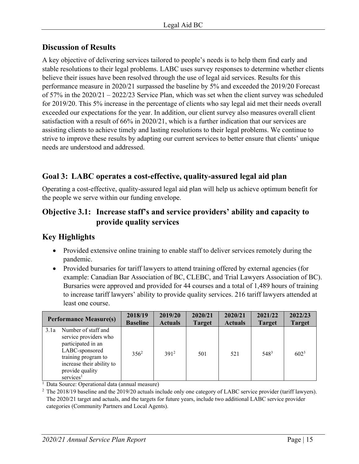# **Discussion of Results**

A key objective of delivering services tailored to people's needs is to help them find early and stable resolutions to their legal problems. LABC uses survey responses to determine whether clients believe their issues have been resolved through the use of legal aid services. Results for this performance measure in 2020/21 surpassed the baseline by 5% and exceeded the 2019/20 Forecast of 57% in the 2020/21 – 2022/23 Service Plan, which was set when the client survey was scheduled for 2019/20. This 5% increase in the percentage of clients who say legal aid met their needs overall exceeded our expectations for the year. In addition, our client survey also measures overall client satisfaction with a result of 66% in 2020/21, which is a further indication that our services are assisting clients to achieve timely and lasting resolutions to their legal problems. We continue to strive to improve these results by adapting our current services to better ensure that clients' unique needs are understood and addressed.

# **Goal 3: LABC operates a cost-effective, quality-assured legal aid plan**

Operating a cost-effective, quality-assured legal aid plan will help us achieve optimum benefit for the people we serve within our funding envelope.

# **Objective 3.1: Increase staff's and service providers' ability and capacity to provide quality services**

# **Key Highlights**

- Provided extensive online training to enable staff to deliver services remotely during the pandemic.
- Provided bursaries for tariff lawyers to attend training offered by external agencies (for example: Canadian Bar Association of BC, CLEBC, and Trial Lawyers Association of BC). Bursaries were approved and provided for 44 courses and a total of 1,489 hours of training to increase tariff lawyers' ability to provide quality services. 216 tariff lawyers attended at least one course.

|      | <b>Performance Measure(s)</b>                                                                                                                                                        | 2018/19<br><b>Baseline</b> | 2019/20<br><b>Actuals</b> | 2020/21<br><b>Target</b> | 2020/21<br><b>Actuals</b> | 2021/22<br><b>Target</b> | 2022/23<br><b>Target</b> |
|------|--------------------------------------------------------------------------------------------------------------------------------------------------------------------------------------|----------------------------|---------------------------|--------------------------|---------------------------|--------------------------|--------------------------|
| 3.1a | Number of staff and<br>service providers who<br>participated in an<br>LABC-sponsored<br>training program to<br>increase their ability to<br>provide quality<br>services <sup>1</sup> | $356^2$                    | 3912                      | 501                      | 521                       | 548 <sup>3</sup>         | $602^3$                  |

<sup>1</sup> Data Source: Operational data (annual measure)

<sup>2</sup> The 2018/19 baseline and the 2019/20 actuals include only one category of LABC service provider (tariff lawyers). The 2020/21 target and actuals, and the targets for future years, include two additional LABC service provider categories (Community Partners and Local Agents).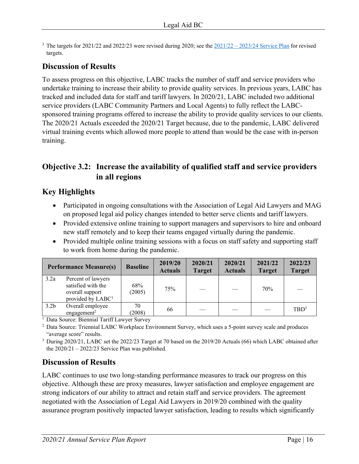<sup>3</sup> The targets for 2021/22 and 2022/23 were revised during 2020; see the  $\frac{2021}{22} - \frac{2023}{24}$  Service Plan for revised targets.

# **Discussion of Results**

To assess progress on this objective, LABC tracks the number of staff and service providers who undertake training to increase their ability to provide quality services. In previous years, LABC has tracked and included data for staff and tariff lawyers. In 2020/21, LABC included two additional service providers (LABC Community Partners and Local Agents) to fully reflect the LABCsponsored training programs offered to increase the ability to provide quality services to our clients. The 2020/21 Actuals exceeded the 2020/21 Target because, due to the pandemic, LABC delivered virtual training events which allowed more people to attend than would be the case with in-person training.

# **Objective 3.2: Increase the availability of qualified staff and service providers in all regions**

# **Key Highlights**

- Participated in ongoing consultations with the Association of Legal Aid Lawyers and MAG on proposed legal aid policy changes intended to better serve clients and tariff lawyers.
- Provided extensive online training to support managers and supervisors to hire and onboard new staff remotely and to keep their teams engaged virtually during the pandemic.
- Provided multiple online training sessions with a focus on staff safety and supporting staff to work from home during the pandemic.

|                  | <b>Performance Measure(s)</b>                                                                | <b>Baseline</b> | 2019/20<br><b>Actuals</b> | 2020/21<br><b>Target</b> | 2020/21<br><b>Actuals</b> | 2021/22<br><b>Target</b> | 2022/23<br><b>Target</b> |
|------------------|----------------------------------------------------------------------------------------------|-----------------|---------------------------|--------------------------|---------------------------|--------------------------|--------------------------|
| 3.2a             | Percent of lawyers<br>satisfied with the<br>overall support<br>provided by LABC <sup>1</sup> | 68%<br>(2005)   | 75%                       |                          |                           | 70%                      |                          |
| 3.2 <sub>b</sub> | Overall employee<br>engagement <sup>2</sup>                                                  | 70<br>(2008)    | 66                        |                          |                           |                          | TBD <sup>3</sup>         |

<sup>1</sup> Data Source: Biennial Tariff Lawyer Survey

<sup>2</sup> Data Source: Triennial LABC Workplace Environment Survey, which uses a 5-point survey scale and produces "average score" results.

<sup>3</sup> During 2020/21, LABC set the 2022/23 Target at 70 based on the 2019/20 Actuals (66) which LABC obtained after the  $2020/21 - 2022/23$  Service Plan was published.

# **Discussion of Results**

LABC continues to use two long-standing performance measures to track our progress on this objective. Although these are proxy measures, lawyer satisfaction and employee engagement are strong indicators of our ability to attract and retain staff and service providers. The agreement negotiated with the Association of Legal Aid Lawyers in 2019/20 combined with the quality assurance program positively impacted lawyer satisfaction, leading to results which significantly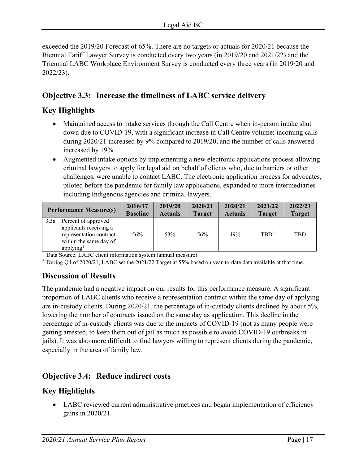exceeded the 2019/20 Forecast of 65%. There are no targets or actuals for 2020/21 because the Biennial Tariff Lawyer Survey is conducted every two years (in 2019/20 and 2021/22) and the Triennial LABC Workplace Environment Survey is conducted every three years (in 2019/20 and 2022/23).

# **Objective 3.3: Increase the timeliness of LABC service delivery**

# **Key Highlights**

- Maintained access to intake services through the Call Centre when in-person intake shut down due to COVID-19, with a significant increase in Call Centre volume: incoming calls during 2020/21 increased by 9% compared to 2019/20, and the number of calls answered increased by 19%.
- Augmented intake options by implementing a new electronic applications process allowing criminal lawyers to apply for legal aid on behalf of clients who, due to barriers or other challenges, were unable to contact LABC. The electronic application process for advocates, piloted before the pandemic for family law applications, expanded to more intermediaries including Indigenous agencies and criminal lawyers.

| <b>Performance Measure(s)</b>                                                                                                       | 2016/17<br><b>Baseline</b> | 2019/20<br><b>Actuals</b> | 2020/21<br><b>Target</b> | 2020/21<br><b>Actuals</b> | 2021/22<br><b>Target</b> | 2022/23<br><b>Target</b> |
|-------------------------------------------------------------------------------------------------------------------------------------|----------------------------|---------------------------|--------------------------|---------------------------|--------------------------|--------------------------|
| Percent of approved<br>3.3a<br>applicants receiving a<br>representation contract<br>within the same day of<br>applying <sup>1</sup> | 56%                        | 53%                       | 56%                      | 49%                       | $TBD^2$                  | <b>TBD</b>               |

<sup>1</sup> Data Source: LABC client information system (annual measure)

<sup>2</sup> During Q4 of 2020/21, LABC set the 2021/22 Target at 55% based on year-to-date data available at that time.

# **Discussion of Results**

The pandemic had a negative impact on our results for this performance measure. A significant proportion of LABC clients who receive a representation contract within the same day of applying are in-custody clients. During 2020/21, the percentage of in-custody clients declined by about 5%, lowering the number of contracts issued on the same day as application. This decline in the percentage of in-custody clients was due to the impacts of COVID-19 (not as many people were getting arrested, to keep them out of jail as much as possible to avoid COVID-19 outbreaks in jails). It was also more difficult to find lawyers willing to represent clients during the pandemic, especially in the area of family law.

# **Objective 3.4: Reduce indirect costs**

# **Key Highlights**

• LABC reviewed current administrative practices and began implementation of efficiency gains in 2020/21.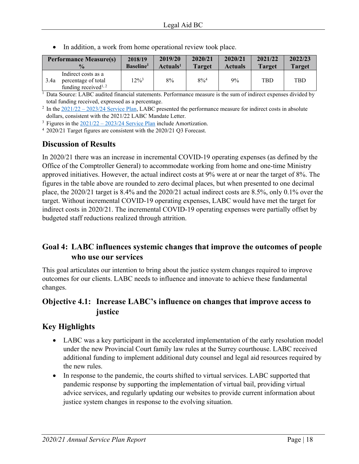|      | <b>Performance Measure(s)</b>                                                               | 2018/19               | 2019/20              | 2020/21       | 2020/21        | 2021/22       | 2022/23       |
|------|---------------------------------------------------------------------------------------------|-----------------------|----------------------|---------------|----------------|---------------|---------------|
|      | $\frac{0}{0}$                                                                               | Baseline <sup>1</sup> | Actuals <sup>1</sup> | <b>Target</b> | <b>Actuals</b> | <b>Target</b> | <b>Target</b> |
| 3.4a | Indirect costs as a<br>percentage of total<br>funding received <sup><math>1, 2</math></sup> | $12\%^{3}$            | 8%                   | $8\%^{4}$     | 9%             | TBD           | <b>TBD</b>    |

• In addition, a work from home operational review took place.

<sup>1</sup> Data Source: LABC audited financial statements. Performance measure is the sum of indirect expenses divided by total funding received, expressed as a percentage.

<sup>2</sup> In the  $2021/22 - 2023/24$  Service Plan, LABC presented the performance measure for indirect costs in absolute dollars, consistent with the 2021/22 LABC Mandate Letter.

<sup>3</sup> Figures in the  $\frac{2021}{22} - \frac{2023}{24}$  Service Plan include Amortization.

<sup>4</sup> 2020/21 Target figures are consistent with the 2020/21 Q3 Forecast.

# **Discussion of Results**

In 2020/21 there was an increase in incremental COVID-19 operating expenses (as defined by the Office of the Comptroller General) to accommodate working from home and one-time Ministry approved initiatives. However, the actual indirect costs at 9% were at or near the target of 8%. The figures in the table above are rounded to zero decimal places, but when presented to one decimal place, the 2020/21 target is 8.4% and the 2020/21 actual indirect costs are 8.5%, only 0.1% over the target. Without incremental COVID-19 operating expenses, LABC would have met the target for indirect costs in 2020/21. The incremental COVID-19 operating expenses were partially offset by budgeted staff reductions realized through attrition.

# **Goal 4: LABC influences systemic changes that improve the outcomes of people who use our services**

This goal articulates our intention to bring about the justice system changes required to improve outcomes for our clients. LABC needs to influence and innovate to achieve these fundamental changes.

# **Objective 4.1: Increase LABC's influence on changes that improve access to justice**

# **Key Highlights**

- LABC was a key participant in the accelerated implementation of the early resolution model under the new Provincial Court family law rules at the Surrey courthouse. LABC received additional funding to implement additional duty counsel and legal aid resources required by the new rules.
- In response to the pandemic, the courts shifted to virtual services. LABC supported that pandemic response by supporting the implementation of virtual bail, providing virtual advice services, and regularly updating our websites to provide current information about justice system changes in response to the evolving situation.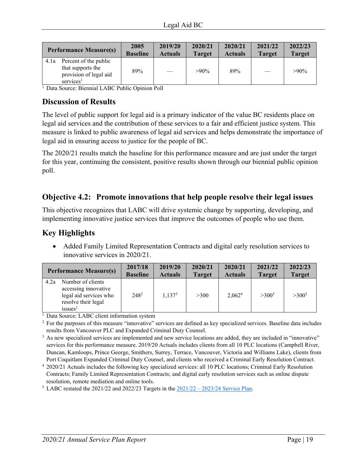| <b>Performance Measure(s)</b>                                                                         | 2005            | 2019/20        | 2020/21       | 2020/21        | 2021/22       | 2022/23       |
|-------------------------------------------------------------------------------------------------------|-----------------|----------------|---------------|----------------|---------------|---------------|
|                                                                                                       | <b>Baseline</b> | <b>Actuals</b> | <b>Target</b> | <b>Actuals</b> | <b>Target</b> | <b>Target</b> |
| Percent of the public<br>4.1a<br>that supports the<br>provision of legal aid<br>services <sup>1</sup> | 89%             |                | $>90\%$       | 89%            |               | $>90\%$       |

<sup>1</sup> Data Source: Biennial LABC Public Opinion Poll

# **Discussion of Results**

The level of public support for legal aid is a primary indicator of the value BC residents place on legal aid services and the contribution of these services to a fair and efficient justice system. This measure is linked to public awareness of legal aid services and helps demonstrate the importance of legal aid in ensuring access to justice for the people of BC.

The 2020/21 results match the baseline for this performance measure and are just under the target for this year, continuing the consistent, positive results shown through our biennial public opinion poll.

# **Objective 4.2: Promote innovations that help people resolve their legal issues**

This objective recognizes that LABC will drive systemic change by supporting, developing, and implementing innovative justice services that improve the outcomes of people who use them.

# **Key Highlights**

• Added Family Limited Representation Contracts and digital early resolution services to innovative services in 2020/21.

|      | <b>Performance Measure(s)</b>                                                                                     | 2017/18<br><b>Baseline</b> | 2019/20<br><b>Actuals</b> | 2020/21<br><b>Target</b> | 2020/21<br><b>Actuals</b> | 2021/22<br><b>Target</b> | 2022/23<br><b>Target</b> |
|------|-------------------------------------------------------------------------------------------------------------------|----------------------------|---------------------------|--------------------------|---------------------------|--------------------------|--------------------------|
| 4.2a | Number of clients<br>accessing innovative<br>legal aid services who<br>resolve their legal<br>issues <sup>1</sup> | $248^2$                    | 1,137 <sup>3</sup>        | >300                     | 2,062 <sup>4</sup>        | $>300^5$                 | $>300^5$                 |

<sup>1</sup> Data Source: LABC client information system  $2^{2}$  For the nurnoses of this measure "innovative"

<sup>2</sup> For the purposes of this measure "innovative" services are defined as key specialized services. Baseline data includes results from Vancouver PLC and Expanded Criminal Duty Counsel. 3

<sup>3</sup> As new specialized services are implemented and new service locations are added, they are included in "innovative" services for this performance measure. 2019/20 Actuals includes clients from all 10 PLC locations (Campbell River, Duncan, Kamloops, Prince George, Smithers, Surrey, Terrace, Vancouver, Victoria and Williams Lake), clients from Port Coquitlam Expanded Criminal Duty Counsel, and clients who received a Criminal Early Resolution Contract. 4

<sup>5</sup> LABC restated the 2021/22 and 2022/23 Targets in the  $\frac{2021}{22} - \frac{2023}{24}$  Service Plan.

 <sup>2020/21</sup> Actuals includes the following key specialized services: all 10 PLC locations; Criminal Early Resolution Contracts; Family Limited Representation Contracts; and digital early resolution services such as online dispute resolution, remote mediation and online tools.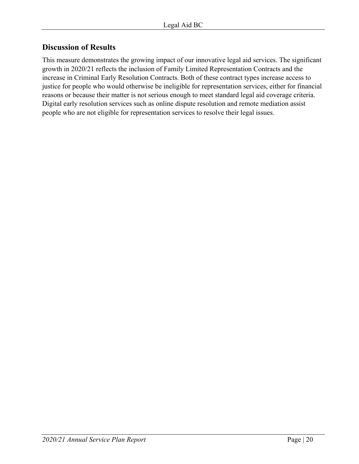# **Discussion of Results**

This measure demonstrates the growing impact of our innovative legal aid services. The significant growth in 2020/21 reflects the inclusion of Family Limited Representation Contracts and the increase in Criminal Early Resolution Contracts. Both of these contract types increase access to justice for people who would otherwise be ineligible for representation services, either for financial reasons or because their matter is not serious enough to meet standard legal aid coverage criteria. Digital early resolution services such as online dispute resolution and remote mediation assist people who are not eligible for representation services to resolve their legal issues.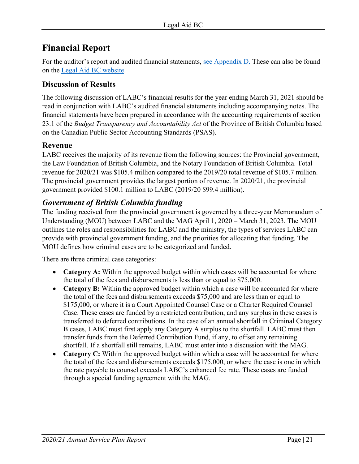# <span id="page-20-0"></span>**Financial Report**

For the auditor's report and audited financial statements, [see Appendix D.](#page-29-0) These can also be found on the [Legal Aid BC](https://legalaid.bc.ca/about/financialInformationStatements) website.

# <span id="page-20-1"></span>**Discussion of Results**

The following discussion of LABC's financial results for the year ending March 31, 2021 should be read in conjunction with LABC's audited financial statements including accompanying notes. The financial statements have been prepared in accordance with the accounting requirements of section 23.1 of the *Budget Transparency and Accountability Act* of the Province of British Columbia based on the Canadian Public Sector Accounting Standards (PSAS).

# <span id="page-20-2"></span>**Revenue**

LABC receives the majority of its revenue from the following sources: the Provincial government, the Law Foundation of British Columbia, and the Notary Foundation of British Columbia. Total revenue for 2020/21 was \$105.4 million compared to the 2019/20 total revenue of \$105.7 million. The provincial government provides the largest portion of revenue. In 2020/21, the provincial government provided \$100.1 million to LABC (2019/20 \$99.4 million).

# *Government of British Columbia funding*

The funding received from the provincial government is governed by a three-year Memorandum of Understanding (MOU) between LABC and the MAG April 1, 2020 – March 31, 2023. The MOU outlines the roles and responsibilities for LABC and the ministry, the types of services LABC can provide with provincial government funding, and the priorities for allocating that funding. The MOU defines how criminal cases are to be categorized and funded.

There are three criminal case categories:

- **Category A:** Within the approved budget within which cases will be accounted for where the total of the fees and disbursements is less than or equal to \$75,000.
- **Category B:** Within the approved budget within which a case will be accounted for where the total of the fees and disbursements exceeds \$75,000 and are less than or equal to \$175,000, or where it is a Court Appointed Counsel Case or a Charter Required Counsel Case. These cases are funded by a restricted contribution, and any surplus in these cases is transferred to deferred contributions. In the case of an annual shortfall in Criminal Category B cases, LABC must first apply any Category A surplus to the shortfall. LABC must then transfer funds from the Deferred Contribution Fund, if any, to offset any remaining shortfall. If a shortfall still remains, LABC must enter into a discussion with the MAG.
- **Category C:** Within the approved budget within which a case will be accounted for where the total of the fees and disbursements exceeds \$175,000, or where the case is one in which the rate payable to counsel exceeds LABC's enhanced fee rate. These cases are funded through a special funding agreement with the MAG.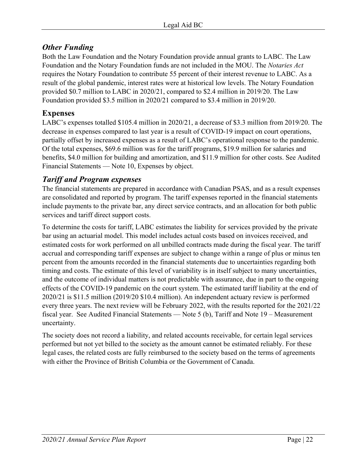# *Other Funding*

Both the Law Foundation and the Notary Foundation provide annual grants to LABC. The Law Foundation and the Notary Foundation funds are not included in the MOU. The *Notaries Act* requires the Notary Foundation to contribute 55 percent of their interest revenue to LABC. As a result of the global pandemic, interest rates were at historical low levels. The Notary Foundation provided \$0.7 million to LABC in 2020/21, compared to \$2.4 million in 2019/20. The Law Foundation provided \$3.5 million in 2020/21 compared to \$3.4 million in 2019/20.

# <span id="page-21-0"></span>**Expenses**

LABC's expenses totalled \$105.4 million in 2020/21, a decrease of \$3.3 million from 2019/20. The decrease in expenses compared to last year is a result of COVID-19 impact on court operations, partially offset by increased expenses as a result of LABC's operational response to the pandemic. Of the total expenses, \$69.6 million was for the tariff programs, \$19.9 million for salaries and benefits, \$4.0 million for building and amortization, and \$11.9 million for other costs. See Audited Financial Statements — Note 10, Expenses by object.

# *Tariff and Program expenses*

The financial statements are prepared in accordance with Canadian PSAS, and as a result expenses are consolidated and reported by program. The tariff expenses reported in the financial statements include payments to the private bar, any direct service contracts, and an allocation for both public services and tariff direct support costs.

To determine the costs for tariff, LABC estimates the liability for services provided by the private bar using an actuarial model. This model includes actual costs based on invoices received, and estimated costs for work performed on all unbilled contracts made during the fiscal year. The tariff accrual and corresponding tariff expenses are subject to change within a range of plus or minus ten percent from the amounts recorded in the financial statements due to uncertainties regarding both timing and costs. The estimate of this level of variability is in itself subject to many uncertainties, and the outcome of individual matters is not predictable with assurance, due in part to the ongoing effects of the COVID-19 pandemic on the court system. The estimated tariff liability at the end of 2020/21 is \$11.5 million (2019/20 \$10.4 million). An independent actuary review is performed every three years. The next review will be February 2022, with the results reported for the 2021/22 fiscal year. See Audited Financial Statements — Note 5 (b), Tariff and Note 19 – Measurement uncertainty.

The society does not record a liability, and related accounts receivable, for certain legal services performed but not yet billed to the society as the amount cannot be estimated reliably. For these legal cases, the related costs are fully reimbursed to the society based on the terms of agreements with either the Province of British Columbia or the Government of Canada.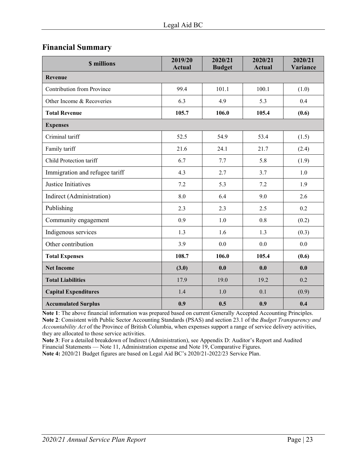# <span id="page-22-0"></span>**Financial Summary**

| <b>\$</b> millions                | 2019/20<br><b>Actual</b> | 2020/21<br><b>Budget</b> | 2020/21<br><b>Actual</b> | 2020/21<br>Variance |
|-----------------------------------|--------------------------|--------------------------|--------------------------|---------------------|
| <b>Revenue</b>                    |                          |                          |                          |                     |
| <b>Contribution from Province</b> | 99.4                     | 101.1                    | 100.1                    | (1.0)               |
| Other Income & Recoveries         | 6.3                      | 4.9                      | 5.3                      | 0.4                 |
| <b>Total Revenue</b>              | 105.7                    | 106.0                    | 105.4                    | (0.6)               |
| <b>Expenses</b>                   |                          |                          |                          |                     |
| Criminal tariff                   | 52.5                     | 54.9                     | 53.4                     | (1.5)               |
| Family tariff                     | 21.6                     | 24.1                     | 21.7                     | (2.4)               |
| Child Protection tariff           | 6.7                      | 7.7                      | 5.8                      | (1.9)               |
| Immigration and refugee tariff    | 4.3                      | 2.7                      | 3.7                      | 1.0                 |
| Justice Initiatives               | 7.2                      | 5.3                      | 7.2                      | 1.9                 |
| Indirect (Administration)         | 8.0                      | 6.4                      | 9.0                      | 2.6                 |
| Publishing                        | 2.3                      | 2.3                      | 2.5                      | 0.2                 |
| Community engagement              | 0.9                      | 1.0                      | 0.8                      | (0.2)               |
| Indigenous services               | 1.3                      | 1.6                      | 1.3                      | (0.3)               |
| Other contribution                | 3.9                      | 0.0                      | 0.0                      | 0.0                 |
| <b>Total Expenses</b>             | 108.7                    | 106.0                    | 105.4                    | (0.6)               |
| <b>Net Income</b>                 | (3.0)                    | 0.0                      | 0.0                      | 0.0                 |
| <b>Total Liabilities</b>          | 17.9                     | 19.0                     | 19.2                     | 0.2                 |
| <b>Capital Expenditures</b>       | 1.4                      | 1.0                      | 0.1                      | (0.9)               |
| <b>Accumulated Surplus</b>        | 0.9                      | 0.5                      | 0.9                      | 0.4                 |

**Note 1**: The above financial information was prepared based on current Generally Accepted Accounting Principles. **Note 2**: Consistent with Public Sector Accounting Standards (PSAS) and section 23.1 of the *Budget Transparency and Accountability Act* of the Province of British Columbia, when expenses support a range of service delivery activities, they are allocated to those service activities.

**Note 3**: For a detailed breakdown of Indirect (Administration), see Appendix D: Auditor's Report and Audited Financial Statements — Note 11, Administration expense and Note 19, Comparative Figures. **Note 4:** 2020/21 Budget figures are based on Legal Aid BC's 2020/21-2022/23 Service Plan.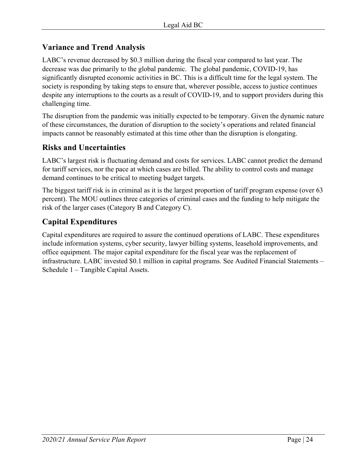# <span id="page-23-0"></span>**Variance and Trend Analysis**

LABC's revenue decreased by \$0.3 million during the fiscal year compared to last year. The decrease was due primarily to the global pandemic. The global pandemic, COVID-19, has significantly disrupted economic activities in BC. This is a difficult time for the legal system. The society is responding by taking steps to ensure that, wherever possible, access to justice continues despite any interruptions to the courts as a result of COVID-19, and to support providers during this challenging time.

The disruption from the pandemic was initially expected to be temporary. Given the dynamic nature of these circumstances, the duration of disruption to the society's operations and related financial impacts cannot be reasonably estimated at this time other than the disruption is elongating.

# **Risks and Uncertainties**

LABC's largest risk is fluctuating demand and costs for services. LABC cannot predict the demand for tariff services, nor the pace at which cases are billed. The ability to control costs and manage demand continues to be critical to meeting budget targets.

The biggest tariff risk is in criminal as it is the largest proportion of tariff program expense (over 63 percent). The MOU outlines three categories of criminal cases and the funding to help mitigate the risk of the larger cases (Category B and Category C).

# <span id="page-23-1"></span>**Capital Expenditures**

Capital expenditures are required to assure the continued operations of LABC. These expenditures include information systems, cyber security, lawyer billing systems, leasehold improvements, and office equipment. The major capital expenditure for the fiscal year was the replacement of infrastructure. LABC invested \$0.1 million in capital programs. See Audited Financial Statements – Schedule 1 – Tangible Capital Assets.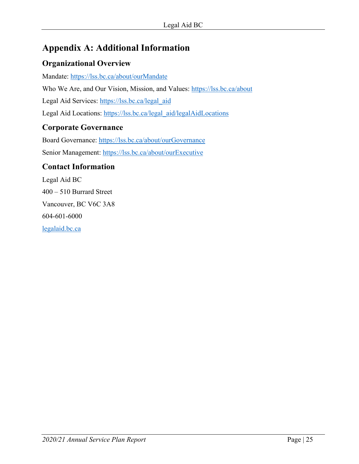# <span id="page-24-0"></span>**Appendix A: Additional Information**

# **Organizational Overview**

Mandate:<https://lss.bc.ca/about/ourMandate> Who We Are, and Our Vision, Mission, and Values:<https://lss.bc.ca/about> Legal Aid Services: [https://lss.bc.ca/legal\\_aid](https://lss.bc.ca/legal_aid) Legal Aid Locations: https://lss.bc.ca/legal\_aid/legalAidLocations

# **Corporate Governance**

Board Governance:<https://lss.bc.ca/about/ourGovernance> Senior Management:<https://lss.bc.ca/about/ourExecutive>

# **Contact Information**

Legal Aid BC 400 – 510 Burrard Street Vancouver, BC V6C 3A8 604-601-6000 [legalaid.bc.ca](http://www.legalaid.bc.ca/)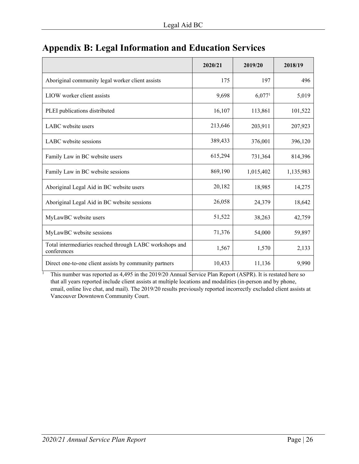|                                                                        | 2020/21 | 2019/20            | 2018/19   |
|------------------------------------------------------------------------|---------|--------------------|-----------|
| Aboriginal community legal worker client assists                       | 175     | 197                | 496       |
| LIOW worker client assists                                             | 9,698   | 6,077 <sup>1</sup> | 5,019     |
| PLEI publications distributed                                          | 16,107  | 113,861            | 101,522   |
| LABC website users                                                     | 213,646 | 203,911            | 207,923   |
| LABC website sessions                                                  | 389,433 | 376,001            | 396,120   |
| Family Law in BC website users                                         | 615,294 | 731,364            | 814,396   |
| Family Law in BC website sessions                                      | 869,190 | 1,015,402          | 1,135,983 |
| Aboriginal Legal Aid in BC website users                               | 20,182  | 18,985             | 14,275    |
| Aboriginal Legal Aid in BC website sessions                            | 26,058  | 24,379             | 18,642    |
| MyLawBC website users                                                  | 51,522  | 38,263             | 42,759    |
| MyLawBC website sessions                                               | 71,376  | 54,000             | 59,897    |
| Total intermediaries reached through LABC workshops and<br>conferences | 1,567   | 1,570              | 2,133     |
| Direct one-to-one client assists by community partners                 | 10,433  | 11,136             | 9,990     |

# <span id="page-25-0"></span>**Appendix B: Legal Information and Education Services**

 This number was reported as 4,495 in the 2019/20 Annual Service Plan Report (ASPR). It is restated here so that all years reported include client assists at multiple locations and modalities (in-person and by phone, email, online live chat, and mail). The 2019/20 results previously reported incorrectly excluded client assists at Vancouver Downtown Community Court.

1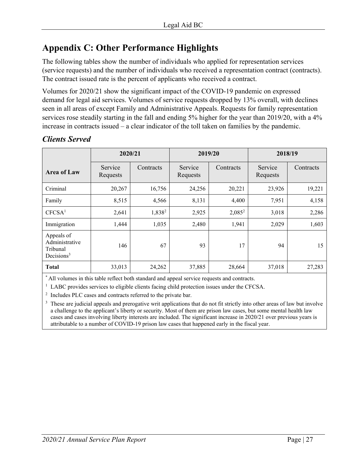# <span id="page-26-0"></span>**Appendix C: Other Performance Highlights**

The following tables show the number of individuals who applied for representation services (service requests) and the number of individuals who received a representation contract (contracts). The contract issued rate is the percent of applicants who received a contract.

Volumes for 2020/21 show the significant impact of the COVID-19 pandemic on expressed demand for legal aid services. Volumes of service requests dropped by 13% overall, with declines seen in all areas of except Family and Administrative Appeals. Requests for family representation services rose steadily starting in the fall and ending 5% higher for the year than 2019/20, with a 4% increase in contracts issued – a clear indicator of the toll taken on families by the pandemic.

|                                                                    | 2020/21             |                    | 2019/20             |           | 2018/19             |           |  |
|--------------------------------------------------------------------|---------------------|--------------------|---------------------|-----------|---------------------|-----------|--|
| <b>Area of Law</b>                                                 | Service<br>Requests | Contracts          | Service<br>Requests | Contracts | Service<br>Requests | Contracts |  |
| Criminal                                                           | 20,267              | 16,756             | 24,256              | 20,221    | 23,926              | 19,221    |  |
| Family                                                             | 8,515               | 4,566              | 8,131               | 4,400     | 7,951               | 4,158     |  |
| CFCSA <sup>1</sup>                                                 | 2,641               | 1,838 <sup>2</sup> | 2,925               | $2,085^2$ | 3,018               | 2,286     |  |
| Immigration                                                        | 1,444               | 1,035              | 2,480               | 1,941     | 2,029               | 1,603     |  |
| Appeals of<br>Administrative<br>Tribunal<br>Decisions <sup>3</sup> | 146                 | 67                 | 93                  | 17        | 94                  | 15        |  |
| <b>Total</b>                                                       | 33,013              | 24,262             | 37,885              | 28,664    | 37,018              | 27,283    |  |

# *Clients Served*

\* All volumes in this table reflect both standard and appeal service requests and contracts.

<sup>1</sup> LABC provides services to eligible clients facing child protection issues under the CFCSA.

<sup>2</sup> Includes PLC cases and contracts referred to the private bar.

<sup>3</sup> These are judicial appeals and prerogative writ applications that do not fit strictly into other areas of law but involve a challenge to the applicant's liberty or security. Most of them are prison law cases, but some mental health law cases and cases involving liberty interests are included. The significant increase in 2020/21 over previous years is attributable to a number of COVID-19 prison law cases that happened early in the fiscal year.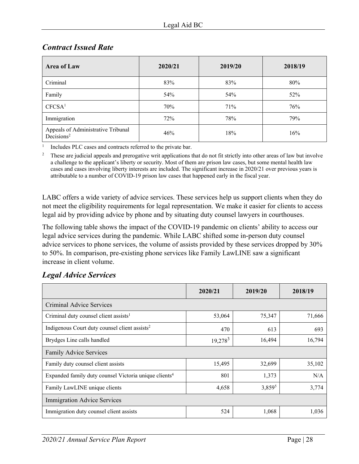| <b>Area of Law</b>                                           | 2020/21 | 2019/20 | 2018/19 |
|--------------------------------------------------------------|---------|---------|---------|
| Criminal                                                     | 83%     | 83%     | 80%     |
| Family                                                       | 54%     | 54%     | 52%     |
| CFCSA <sup>1</sup>                                           | 70%     | 71%     | 76%     |
| Immigration                                                  | 72%     | 78%     | 79%     |
| Appeals of Administrative Tribunal<br>Decisions <sup>2</sup> | 46%     | 18%     | 16%     |

# *Contract Issued Rate*

1 Includes PLC cases and contracts referred to the private bar.

2 These are judicial appeals and prerogative writ applications that do not fit strictly into other areas of law but involve a challenge to the applicant's liberty or security. Most of them are prison law cases, but some mental health law cases and cases involving liberty interests are included. The significant increase in 2020/21 over previous years is attributable to a number of COVID-19 prison law cases that happened early in the fiscal year.

LABC offers a wide variety of advice services. These services help us support clients when they do not meet the eligibility requirements for legal representation. We make it easier for clients to access legal aid by providing advice by phone and by situating duty counsel lawyers in courthouses.

The following table shows the impact of the COVID-19 pandemic on clients' ability to access our legal advice services during the pandemic. While LABC shifted some in-person duty counsel advice services to phone services, the volume of assists provided by these services dropped by 30% to 50%. In comparison, pre-existing phone services like Family LawLINE saw a significant increase in client volume.

|                                                                   | 2020/21    | 2019/20 | 2018/19 |
|-------------------------------------------------------------------|------------|---------|---------|
| Criminal Advice Services                                          |            |         |         |
| Criminal duty counsel client assists <sup>1</sup>                 | 53,064     | 75,347  | 71,666  |
| Indigenous Court duty counsel client assists <sup>2</sup>         | 470        | 613     | 693     |
| Brydges Line calls handled                                        | $19,278^3$ | 16,494  | 16,794  |
| <b>Family Advice Services</b>                                     |            |         |         |
| Family duty counsel client assists                                | 15,495     | 32,699  | 35,102  |
| Expanded family duty counsel Victoria unique clients <sup>4</sup> | 801        | 1,373   | N/A     |
| Family LawLINE unique clients                                     | 4,658      | 3,8595  | 3,774   |
| <b>Immigration Advice Services</b>                                |            |         |         |
| Immigration duty counsel client assists                           | 524        | 1,068   | 1,036   |

# *Legal Advice Services*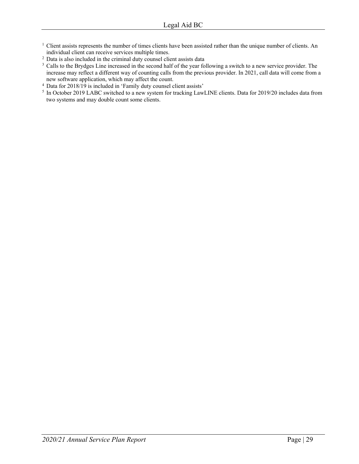- <sup>1</sup> Client assists represents the number of times clients have been assisted rather than the unique number of clients. An individual client can receive services multiple times.
- <sup>2</sup> Data is also included in the criminal duty counsel client assists data
- <sup>3</sup> Calls to the Brydges Line increased in the second half of the year following a switch to a new service provider. The increase may reflect a different way of counting calls from the previous provider. In 2021, call data will come from a new software application, which may affect the count.
- 4 Data for 2018/19 is included in 'Family duty counsel client assists'
- <sup>5</sup> In October 2019 LABC switched to a new system for tracking LawLINE clients. Data for 2019/20 includes data from two systems and may double count some clients.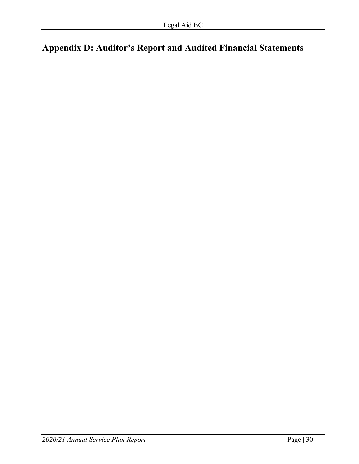# <span id="page-29-0"></span>**Appendix D: Auditor's Report and Audited Financial Statements**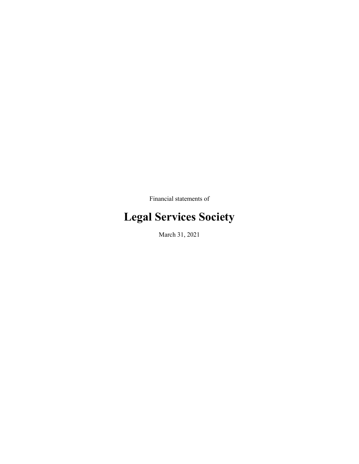Financial statements of

# **Legal Services Society**

March 31, 2021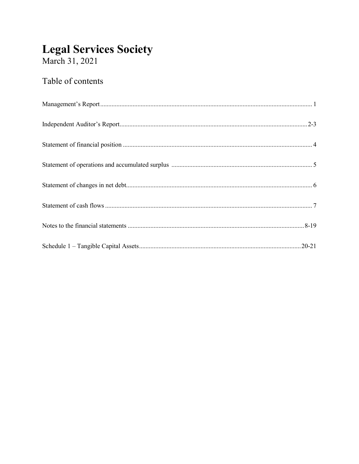# **Legal Services Society**<br>March 31, 2021

# Table of contents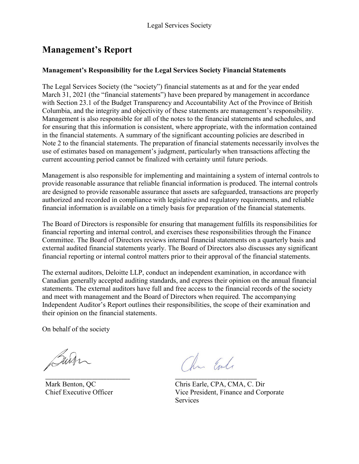# **Management's Report**

### **Management's Responsibility for the Legal Services Society Financial Statements**

The Legal Services Society (the "society") financial statements as at and for the year ended March 31, 2021 (the "financial statements") have been prepared by management in accordance with Section 23.1 of the Budget Transparency and Accountability Act of the Province of British Columbia, and the integrity and objectivity of these statements are management's responsibility. Management is also responsible for all of the notes to the financial statements and schedules, and for ensuring that this information is consistent, where appropriate, with the information contained in the financial statements. A summary of the significant accounting policies are described in Note 2 to the financial statements. The preparation of financial statements necessarily involves the use of estimates based on management's judgment, particularly when transactions affecting the current accounting period cannot be finalized with certainty until future periods.

Management is also responsible for implementing and maintaining a system of internal controls to provide reasonable assurance that reliable financial information is produced. The internal controls are designed to provide reasonable assurance that assets are safeguarded, transactions are properly authorized and recorded in compliance with legislative and regulatory requirements, and reliable financial information is available on a timely basis for preparation of the financial statements.

The Board of Directors is responsible for ensuring that management fulfills its responsibilities for financial reporting and internal control, and exercises these responsibilities through the Finance Committee. The Board of Directors reviews internal financial statements on a quarterly basis and external audited financial statements yearly. The Board of Directors also discusses any significant financial reporting or internal control matters prior to their approval of the financial statements.

The external auditors, Deloitte LLP, conduct an independent examination, in accordance with Canadian generally accepted auditing standards, and express their opinion on the annual financial statements. The external auditors have full and free access to the financial records of the society and meet with management and the Board of Directors when required. The accompanying Independent Auditor's Report outlines their responsibilities, the scope of their examination and their opinion on the financial statements.

On behalf of the society

Surr

\_\_\_\_\_\_\_\_\_\_\_\_\_\_\_\_\_\_\_\_\_\_\_\_\_\_\_\_\_ \_\_\_\_\_\_\_\_\_\_\_\_\_\_\_\_\_\_\_\_\_\_\_\_\_\_\_\_

Mark Benton, QC Chris Earle, CPA, CMA, C. Dir Chief Executive Officer Vice President, Finance and Corporate Services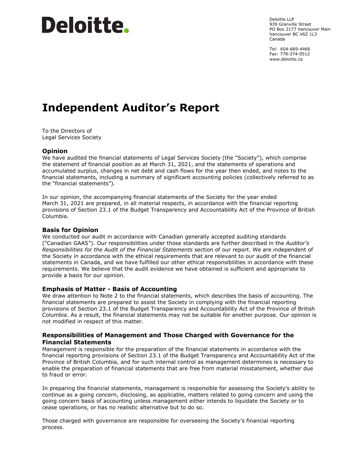# Deloitte.

Deloitte LLP 939 Granville Street PO Box 2177 Vancouver Main Vancouver BC V6Z 1L3 Canada

Tel: 604-669-4466 Fax: 778-374-0512 [www.deloitte.ca](http://www.deloitte.ca) 

# **Independent Auditor's Report**

To the Directors of Legal Services Society

#### **Opinion**

We have audited the financial statements of Legal Services Society (the "Society"), which comprise the statement of financial position as at March 31, 2021, and the statements of operations and accumulated surplus, changes in net debt and cash flows for the year then ended, and notes to the financial statements, including a summary of significant accounting policies (collectively referred to as the "financial statements").

In our opinion, the accompanying financial statements of the Society for the year ended March 31, 2021 are prepared, in all material respects, in accordance with the financial reporting provisions of Section 23.1 of the Budget Transparency and Accountability Act of the Province of British Columbia.

#### **Basis for Opinion**

We conducted our audit in accordance with Canadian generally accepted auditing standards ("Canadian GAAS"). Our responsibilities under those standards are further described in the *Auditor's Responsibilities for the Audit of the Financial Statements* section of our report. We are independent of the Society in accordance with the ethical requirements that are relevant to our audit of the financial statements in Canada, and we have fulfilled our other ethical responsibilities in accordance with these requirements. We believe that the audit evidence we have obtained is sufficient and appropriate to provide a basis for our opinion.

#### **Emphasis of Matter - Basis of Accounting**

We draw attention to Note 2 to the financial statements, which describes the basis of accounting. The financial statements are prepared to assist the Society in complying with the financial reporting provisions of Section 23.1 of the Budget Transparency and Accountability Act of the Province of British Columbia. As a result, the financial statements may not be suitable for another purpose. Our opinion is not modified in respect of this matter.

#### **Responsibilities of Management and Those Charged with Governance for the Financial Statements**

Management is responsible for the preparation of the financial statements in accordance with the financial reporting provisions of Section 23.1 of the Budget Transparency and Accountability Act of the Province of British Columbia, and for such internal control as management determines is necessary to enable the preparation of financial statements that are free from material misstatement, whether due to fraud or error.

In preparing the financial statements, management is responsible for assessing the Society's ability to continue as a going concern, disclosing, as applicable, matters related to going concern and using the going concern basis of accounting unless management either intends to liquidate the Society or to cease operations, or has no realistic alternative but to do so.

Those charged with governance are responsible for overseeing the Society's financial reporting process.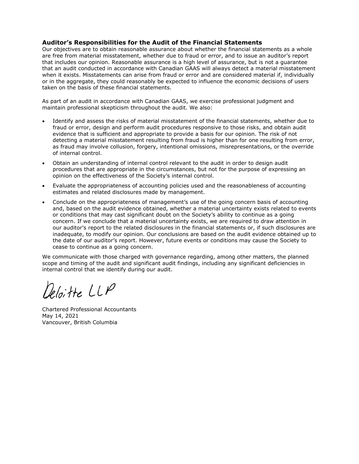#### **Auditor's Responsibilities for the Audit of the Financial Statements**

Our objectives are to obtain reasonable assurance about whether the financial statements as a whole are free from material misstatement, whether due to fraud or error, and to issue an auditor's report that includes our opinion. Reasonable assurance is a high level of assurance, but is not a guarantee that an audit conducted in accordance with Canadian GAAS will always detect a material misstatement when it exists. Misstatements can arise from fraud or error and are considered material if, individually or in the aggregate, they could reasonably be expected to influence the economic decisions of users taken on the basis of these financial statements.

As part of an audit in accordance with Canadian GAAS, we exercise professional judgment and maintain professional skepticism throughout the audit. We also:

- Identify and assess the risks of material misstatement of the financial statements, whether due to fraud or error, design and perform audit procedures responsive to those risks, and obtain audit evidence that is sufficient and appropriate to provide a basis for our opinion. The risk of not detecting a material misstatement resulting from fraud is higher than for one resulting from error, as fraud may involve collusion, forgery, intentional omissions, misrepresentations, or the override of internal control.
- Obtain an understanding of internal control relevant to the audit in order to design audit procedures that are appropriate in the circumstances, but not for the purpose of expressing an opinion on the effectiveness of the Society's internal control.
- Evaluate the appropriateness of accounting policies used and the reasonableness of accounting estimates and related disclosures made by management.
- Conclude on the appropriateness of management's use of the going concern basis of accounting and, based on the audit evidence obtained, whether a material uncertainty exists related to events or conditions that may cast significant doubt on the Society's ability to continue as a going concern. If we conclude that a material uncertainty exists, we are required to draw attention in our auditor's report to the related disclosures in the financial statements or, if such disclosures are inadequate, to modify our opinion. Our conclusions are based on the audit evidence obtained up to the date of our auditor's report. However, future events or conditions may cause the Society to cease to continue as a going concern.

We communicate with those charged with governance regarding, among other matters, the planned scope and timing of the audit and significant audit findings, including any significant deficiencies in internal control that we identify during our audit.

eloitte LLP

Chartered Professional Accountants May 14, 2021 Vancouver, British Columbia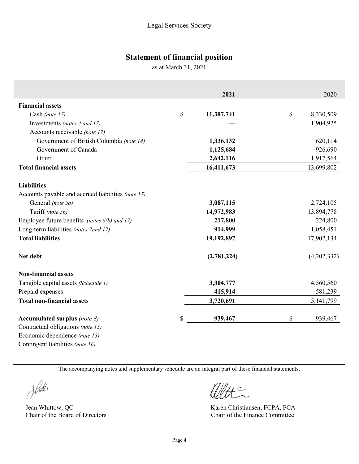# **Statement of financial position**

as at March 31, 2021

|                                                                          | 2021             | 2020            |
|--------------------------------------------------------------------------|------------------|-----------------|
| <b>Financial assets</b>                                                  |                  |                 |
| Cash (note 17)                                                           | \$<br>11,307,741 | \$<br>8,330,509 |
| Investments (notes 4 and 17)                                             |                  | 1,904,925       |
| Accounts receivable (note 17)                                            |                  |                 |
| Government of British Columbia (note 14)                                 | 1,336,132        | 620,114         |
| Government of Canada                                                     | 1,125,684        | 926,690         |
| Other                                                                    | 2,642,116        | 1,917,564       |
| <b>Total financial assets</b>                                            | 16,411,673       | 13,699,802      |
| <b>Liabilities</b><br>Accounts payable and accrued liabilities (note 17) |                  |                 |
| General (note 5a)                                                        | 3,087,115        | 2,724,105       |
| Tariff (note 5b)                                                         | 14,972,983       | 13,894,778      |
| Employee future benefits (notes 6(b) and 17)                             | 217,800          | 224,800         |
| Long-term liabilities (notes 7 and 17)                                   | 914,999          | 1,058,451       |
| <b>Total liabilities</b>                                                 | 19,192,897       | 17,902,134      |
| Net debt                                                                 | (2,781,224)      | (4,202,332)     |
| <b>Non-financial assets</b>                                              |                  |                 |
| Tangible capital assets (Schedule 1)                                     | 3,304,777        | 4,560,560       |
| Prepaid expenses                                                         | 415,914          | 581,239         |
| <b>Total non-financial assets</b>                                        | 3,720,691        | 5, 141, 799     |
| Accumulated surplus (note $8$ )                                          | \$<br>939,467    | \$<br>939,467   |
| Contractual obligations (note 13)                                        |                  |                 |
| Economic dependence (note 15)                                            |                  |                 |

The accompanying notes and supplementary schedule are an integral part of these financial statements.

Johnts

Jean Whittow, QC Karen Christiansen, FCPA, FCA

Contingent liabilities *(note 16)* 

Chair of the Board of Directors Chair of the Finance Committee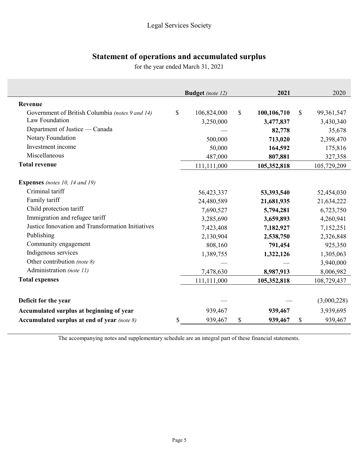# **Statement of operations and accumulated surplus**

for the year ended March 31, 2021

|                                                   | <b>Budget</b> (note 12) | 2021              | 2020             |
|---------------------------------------------------|-------------------------|-------------------|------------------|
| Revenue                                           |                         |                   |                  |
| Government of British Columbia (notes 9 and 14)   | \$<br>106,824,000       | \$<br>100,106,710 | \$<br>99,361,547 |
| Law Foundation                                    | 3,250,000               | 3,477,837         | 3,430,340        |
| Department of Justice — Canada                    |                         | 82,778            | 35,678           |
| Notary Foundation                                 | 500,000                 | 713,020           | 2,398,470        |
| Investment income                                 | 50,000                  | 164,592           | 175,816          |
| Miscellaneous                                     | 487,000                 | 807,881           | 327,358          |
| <b>Total revenue</b>                              | 111,111,000             | 105,352,818       | 105,729,209      |
| <b>Expenses</b> (notes 10, 14 and 19)             |                         |                   |                  |
| Criminal tariff                                   | 56,423,337              | 53,393,540        | 52,454,030       |
| Family tariff                                     | 24,480,589              | 21,681,935        | 21,634,222       |
| Child protection tariff                           | 7,690,527               | 5,794,281         | 6,723,750        |
| Immigration and refugee tariff                    | 3,285,690               | 3,659,893         | 4,260,941        |
| Justice Innovation and Transformation Initiatives | 7,423,408               | 7,182,927         | 7,152,251        |
| Publishing                                        | 2,130,904               | 2,538,750         | 2,326,848        |
| Community engagement                              | 808,160                 | 791,454           | 925,350          |
| Indigenous services                               | 1,389,755               | 1,322,126         | 1,305,063        |
| Other contribution (note 8)                       |                         |                   | 3,940,000        |
| Administration (note 11)                          | 7,478,630               | 8,987,913         | 8,006,982        |
| <b>Total expenses</b>                             | 111,111,000             | 105,352,818       | 108,729,437      |
|                                                   |                         |                   |                  |
| Deficit for the year                              |                         |                   | (3,000,228)      |
| Accumulated surplus at beginning of year          | 939,467                 | 939,467           | 3,939,695        |
| Accumulated surplus at end of year (note 8)       | \$<br>939,467           | \$<br>939,467     | \$<br>939,467    |

The accompanying notes and supplementary schedule are an integral part of these financial statements.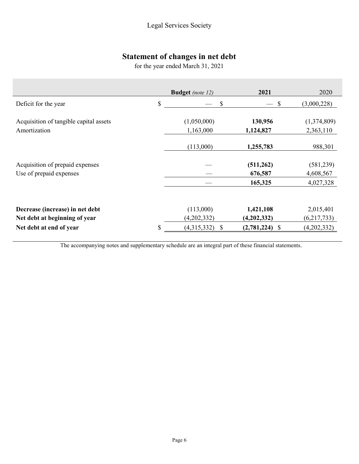# **Statement of changes in net debt**

for the year ended March 31, 2021

|                                                                  | <b>Budget</b> (note 12)  | 2021                     | 2020                     |
|------------------------------------------------------------------|--------------------------|--------------------------|--------------------------|
| Deficit for the year                                             | \$                       | \$                       | (3,000,228)<br><b>S</b>  |
| Acquisition of tangible capital assets<br>Amortization           | (1,050,000)<br>1,163,000 | 130,956<br>1,124,827     | (1,374,809)<br>2,363,110 |
|                                                                  | (113,000)                | 1,255,783                | 988,301                  |
| Acquisition of prepaid expenses<br>Use of prepaid expenses       |                          | (511, 262)<br>676,587    | (581, 239)<br>4,608,567  |
|                                                                  |                          | 165,325                  | 4,027,328                |
| Decrease (increase) in net debt<br>Net debt at beginning of year | (113,000)<br>(4,202,332) | 1,421,108<br>(4,202,332) | 2,015,401<br>(6,217,733) |
| Net debt at end of year                                          | \$<br>(4,315,332)        | \$<br>$(2,781,224)$ \$   | (4,202,332)              |

The accompanying notes and supplementary schedule are an integral part of these financial statements.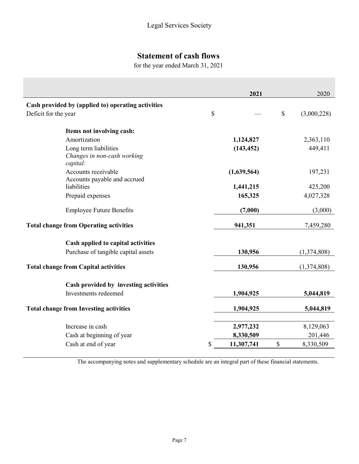# **Statement of cash flows**

for the year ended March 31, 2021

|                                                                  | 2021        |               | 2020        |
|------------------------------------------------------------------|-------------|---------------|-------------|
| Cash provided by (applied to) operating activities               |             |               |             |
| \$<br>Deficit for the year                                       |             | $\mathcal{S}$ | (3,000,228) |
| Items not involving cash:                                        |             |               |             |
| Amortization                                                     | 1,124,827   |               | 2,363,110   |
| Long term liabilities<br>Changes in non-cash working<br>capital: | (143, 452)  |               | 449,411     |
| Accounts receivable<br>Accounts payable and accrued              | (1,639,564) |               | 197,231     |
| liabilities                                                      | 1,441,215   |               | 425,200     |
| Prepaid expenses                                                 | 165,325     |               | 4,027,328   |
| <b>Employee Future Benefits</b>                                  | (7,000)     |               | (3,000)     |
| <b>Total change from Operating activities</b>                    | 941,351     |               | 7,459,280   |
| Cash applied to capital activities                               |             |               |             |
| Purchase of tangible capital assets                              | 130,956     |               | (1,374,808) |
| <b>Total change from Capital activities</b>                      | 130,956     |               | (1,374,808) |
| Cash provided by investing activities                            |             |               |             |
| Investments redeemed                                             | 1,904,925   |               | 5,044,819   |
| <b>Total change from Investing activities</b>                    | 1,904,925   |               | 5,044,819   |
| Increase in cash                                                 | 2,977,232   |               | 8,129,063   |
| Cash at beginning of year                                        | 8,330,509   |               | 201,446     |
| Cash at end of year<br>\$                                        | 11,307,741  | \$            | 8,330,509   |
|                                                                  |             |               |             |

The accompanying notes and supplementary schedule are an integral part of these financial statements.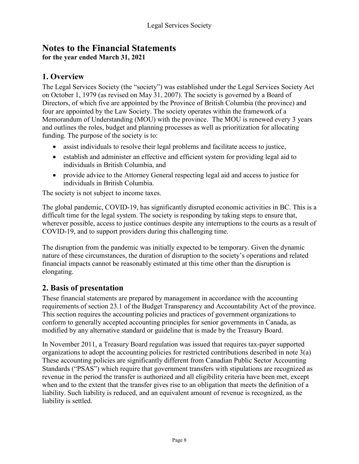# **Notes to the Financial Statements for the year ended March 31, 2021**

# **1. Overview**

The Legal Services Society (the "society") was established under the Legal Services Society Act on October 1, 1979 (as revised on May 31, 2007). The society is governed by a Board of Directors, of which five are appointed by the Province of British Columbia (the province) and four are appointed by the Law Society. The society operates within the framework of a Memorandum of Understanding (MOU) with the province. The MOU is renewed every 3 years and outlines the roles, budget and planning processes as well as prioritization for allocating funding. The purpose of the society is to:

- assist individuals to resolve their legal problems and facilitate access to justice,
- establish and administer an effective and efficient system for providing legal aid to individuals in British Columbia, and
- provide advice to the Attorney General respecting legal aid and access to justice for individuals in British Columbia.

The society is not subject to income taxes.

The global pandemic, COVID-19, has significantly disrupted economic activities in BC. This is a difficult time for the legal system. The society is responding by taking steps to ensure that, wherever possible, access to justice continues despite any interruptions to the courts as a result of COVID-19, and to support providers during this challenging time.

The disruption from the pandemic was initially expected to be temporary. Given the dynamic nature of these circumstances, the duration of disruption to the society's operations and related financial impacts cannot be reasonably estimated at this time other than the disruption is elongating.

# **2. Basis of presentation**

These financial statements are prepared by management in accordance with the accounting requirements of section 23.1 of the Budget Transparency and Accountability Act of the province. This section requires the accounting policies and practices of government organizations to conform to generally accepted accounting principles for senior governments in Canada, as modified by any alternative standard or guideline that is made by the Treasury Board.

In November 2011, a Treasury Board regulation was issued that requires tax-payer supported organizations to adopt the accounting policies for restricted contributions described in note 3(a) These accounting policies are significantly different from Canadian Public Sector Accounting Standards ("PSAS") which require that government transfers with stipulations are recognized as revenue in the period the transfer is authorized and all eligibility criteria have been met, except when and to the extent that the transfer gives rise to an obligation that meets the definition of a liability. Such liability is reduced, and an equivalent amount of revenue is recognized, as the liability is settled.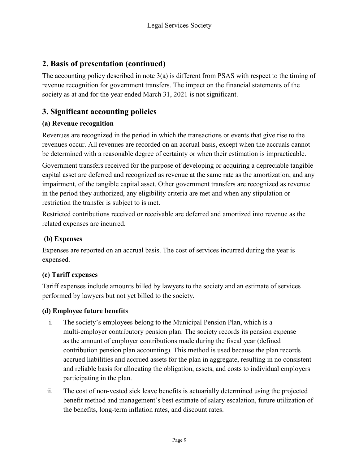# **2. Basis of presentation (continued)**

The accounting policy described in note 3(a) is different from PSAS with respect to the timing of revenue recognition for government transfers. The impact on the financial statements of the society as at and for the year ended March 31, 2021 is not significant.

# **3. Significant accounting policies**

### **(a) Revenue recognition**

Revenues are recognized in the period in which the transactions or events that give rise to the revenues occur. All revenues are recorded on an accrual basis, except when the accruals cannot be determined with a reasonable degree of certainty or when their estimation is impracticable.

Government transfers received for the purpose of developing or acquiring a depreciable tangible capital asset are deferred and recognized as revenue at the same rate as the amortization, and any impairment, of the tangible capital asset. Other government transfers are recognized as revenue in the period they authorized, any eligibility criteria are met and when any stipulation or restriction the transfer is subject to is met.

Restricted contributions received or receivable are deferred and amortized into revenue as the related expenses are incurred.

### **(b) Expenses**

Expenses are reported on an accrual basis. The cost of services incurred during the year is expensed.

# **(c) Tariff expenses**

Tariff expenses include amounts billed by lawyers to the society and an estimate of services performed by lawyers but not yet billed to the society.

### **(d) Employee future benefits**

- i. The society's employees belong to the Municipal Pension Plan, which is a multi-employer contributory pension plan. The society records its pension expense as the amount of employer contributions made during the fiscal year (defined contribution pension plan accounting). This method is used because the plan records accrued liabilities and accrued assets for the plan in aggregate, resulting in no consistent and reliable basis for allocating the obligation, assets, and costs to individual employers participating in the plan.
- ii. The cost of non-vested sick leave benefits is actuarially determined using the projected benefit method and management's best estimate of salary escalation, future utilization of the benefits, long-term inflation rates, and discount rates.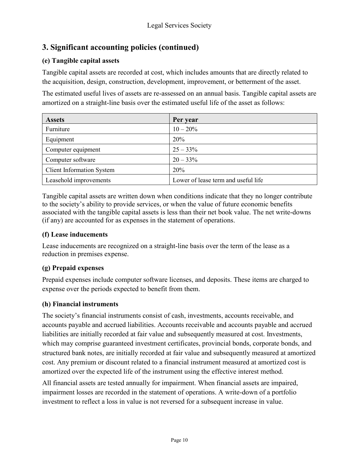# **3. Significant accounting policies (continued)**

# **(e) Tangible capital assets**

Tangible capital assets are recorded at cost, which includes amounts that are directly related to the acquisition, design, construction, development, improvement, or betterment of the asset.

The estimated useful lives of assets are re-assessed on an annual basis. Tangible capital assets are amortized on a straight-line basis over the estimated useful life of the asset as follows:

| <b>Assets</b>                    | Per year                            |
|----------------------------------|-------------------------------------|
| Furniture                        | $10 - 20\%$                         |
| Equipment                        | <b>20%</b>                          |
| Computer equipment               | $25 - 33\%$                         |
| Computer software                | $20 - 33\%$                         |
| <b>Client Information System</b> | 20%                                 |
| Leasehold improvements           | Lower of lease term and useful life |

Tangible capital assets are written down when conditions indicate that they no longer contribute to the society's ability to provide services, or when the value of future economic benefits associated with the tangible capital assets is less than their net book value. The net write-downs (if any) are accounted for as expenses in the statement of operations.

### **(f) Lease inducements**

Lease inducements are recognized on a straight-line basis over the term of the lease as a reduction in premises expense.

### **(g) Prepaid expenses**

Prepaid expenses include computer software licenses, and deposits. These items are charged to expense over the periods expected to benefit from them.

### **(h) Financial instruments**

The society's financial instruments consist of cash, investments, accounts receivable, and accounts payable and accrued liabilities. Accounts receivable and accounts payable and accrued liabilities are initially recorded at fair value and subsequently measured at cost. Investments, which may comprise guaranteed investment certificates, provincial bonds, corporate bonds, and structured bank notes, are initially recorded at fair value and subsequently measured at amortized cost. Any premium or discount related to a financial instrument measured at amortized cost is amortized over the expected life of the instrument using the effective interest method.

All financial assets are tested annually for impairment. When financial assets are impaired, impairment losses are recorded in the statement of operations. A write-down of a portfolio investment to reflect a loss in value is not reversed for a subsequent increase in value.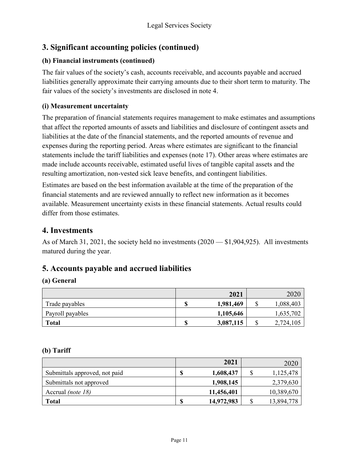# **3. Significant accounting policies (continued)**

# **(h) Financial instruments (continued)**

The fair values of the society's cash, accounts receivable, and accounts payable and accrued liabilities generally approximate their carrying amounts due to their short term to maturity. The fair values of the society's investments are disclosed in note 4.

## **(i) Measurement uncertainty**

The preparation of financial statements requires management to make estimates and assumptions that affect the reported amounts of assets and liabilities and disclosure of contingent assets and liabilities at the date of the financial statements, and the reported amounts of revenue and expenses during the reporting period. Areas where estimates are significant to the financial statements include the tariff liabilities and expenses (note 17). Other areas where estimates are made include accounts receivable, estimated useful lives of tangible capital assets and the resulting amortization, non-vested sick leave benefits, and contingent liabilities.

Estimates are based on the best information available at the time of the preparation of the financial statements and are reviewed annually to reflect new information as it becomes available. Measurement uncertainty exists in these financial statements. Actual results could differ from those estimates.

# **4. Investments**

As of March 31, 2021, the society held no investments (2020 — \$1,904,925). All investments matured during the year.

# **5. Accounts payable and accrued liabilities**

### **(a) General**

|                  | 2021      |    | 2020      |
|------------------|-----------|----|-----------|
| Trade payables   | 1,981,469 | ۰υ | 1,088,403 |
| Payroll payables | 1,105,646 |    | 1,635,702 |
| <b>Total</b>     | 3,087,115 | ۰υ | 2,724,105 |

### **(b) Tariff**

|                               |    | 2021       | 2020             |
|-------------------------------|----|------------|------------------|
| Submittals approved, not paid | J  | 1,608,437  | 1,125,478        |
| Submittals not approved       |    | 1,908,145  | 2,379,630        |
| Accrual <i>(note 18)</i>      |    | 11,456,401 | 10,389,670       |
| <b>Total</b>                  | \$ | 14,972,983 | \$<br>13,894,778 |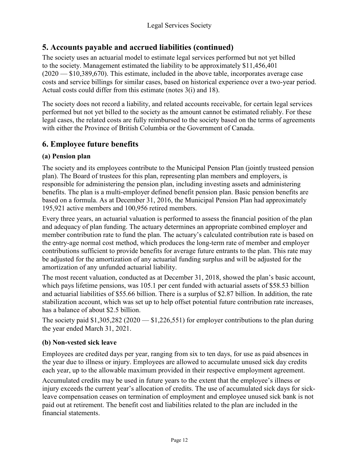# **5. Accounts payable and accrued liabilities (continued)**

The society uses an actuarial model to estimate legal services performed but not yet billed to the society. Management estimated the liability to be approximately \$11,456,401 (2020 — \$10,389,670). This estimate, included in the above table, incorporates average case costs and service billings for similar cases, based on historical experience over a two-year period. Actual costs could differ from this estimate (notes 3(i) and 18).

The society does not record a liability, and related accounts receivable, for certain legal services performed but not yet billed to the society as the amount cannot be estimated reliably. For these legal cases, the related costs are fully reimbursed to the society based on the terms of agreements with either the Province of British Columbia or the Government of Canada.

# **6. Employee future benefits**

# **(a) Pension plan**

The society and its employees contribute to the Municipal Pension Plan (jointly trusteed pension plan). The Board of trustees for this plan, representing plan members and employers, is responsible for administering the pension plan, including investing assets and administering benefits. The plan is a multi-employer defined benefit pension plan. Basic pension benefits are based on a formula. As at December 31, 2016, the Municipal Pension Plan had approximately 195,921 active members and 100,956 retired members.

Every three years, an actuarial valuation is performed to assess the financial position of the plan and adequacy of plan funding. The actuary determines an appropriate combined employer and member contribution rate to fund the plan. The actuary's calculated contribution rate is based on the entry-age normal cost method, which produces the long-term rate of member and employer contributions sufficient to provide benefits for average future entrants to the plan. This rate may be adjusted for the amortization of any actuarial funding surplus and will be adjusted for the amortization of any unfunded actuarial liability.

The most recent valuation, conducted as at December 31, 2018, showed the plan's basic account, which pays lifetime pensions, was 105.1 per cent funded with actuarial assets of \$58.53 billion and actuarial liabilities of \$55.66 billion. There is a surplus of \$2.87 billion. In addition, the rate stabilization account, which was set up to help offset potential future contribution rate increases, has a balance of about \$2.5 billion.

The society paid  $$1,305,282$  (2020  $- $1,226,551$ ) for employer contributions to the plan during the year ended March 31, 2021.

### **(b) Non-vested sick leave**

Employees are credited days per year, ranging from six to ten days, for use as paid absences in the year due to illness or injury. Employees are allowed to accumulate unused sick day credits each year, up to the allowable maximum provided in their respective employment agreement.

Accumulated credits may be used in future years to the extent that the employee's illness or injury exceeds the current year's allocation of credits. The use of accumulated sick days for sickleave compensation ceases on termination of employment and employee unused sick bank is not paid out at retirement. The benefit cost and liabilities related to the plan are included in the financial statements.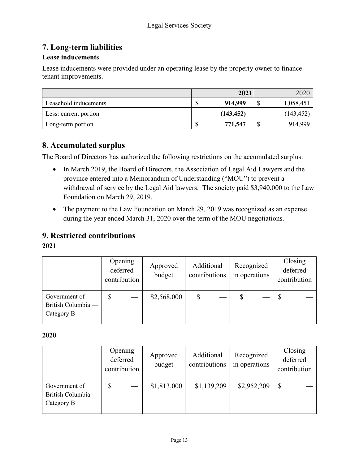# **7. Long-term liabilities**

### **Lease inducements**

Lease inducements were provided under an operating lease by the property owner to finance tenant improvements.

|                       |        | 2021       |    | 2020       |
|-----------------------|--------|------------|----|------------|
| Leasehold inducements | ⊕<br>Φ | 914,999    |    | 1,058,451  |
| Less: current portion |        | (143, 452) |    | (143, 452) |
| Long-term portion     | S      | 771,547    | ۵U | 914,999    |

# **8. Accumulated surplus**

The Board of Directors has authorized the following restrictions on the accumulated surplus:

- In March 2019, the Board of Directors, the Association of Legal Aid Lawyers and the province entered into a Memorandum of Understanding ("MOU") to prevent a withdrawal of service by the Legal Aid lawyers. The society paid \$3,940,000 to the Law Foundation on March 29, 2019.
- The payment to the Law Foundation on March 29, 2019 was recognized as an expense during the year ended March 31, 2020 over the term of the MOU negotiations.

# **9. Restricted contributions**

### **2021**

|                                                   | Opening<br>deferred<br>contribution | Approved<br>budget | Additional<br>contributions | Recognized<br>in operations | Closing<br>deferred<br>contribution |  |
|---------------------------------------------------|-------------------------------------|--------------------|-----------------------------|-----------------------------|-------------------------------------|--|
| Government of<br>British Columbia -<br>Category B |                                     | \$2,568,000        |                             |                             |                                     |  |

### **2020**

|                                                   | Opening<br>deferred<br>contribution | Approved<br>budget | Additional<br>contributions | Recognized<br>in operations | Closing<br>deferred<br>contribution |
|---------------------------------------------------|-------------------------------------|--------------------|-----------------------------|-----------------------------|-------------------------------------|
| Government of<br>British Columbia -<br>Category B |                                     | \$1,813,000        | \$1,139,209                 | \$2,952,209                 | \$                                  |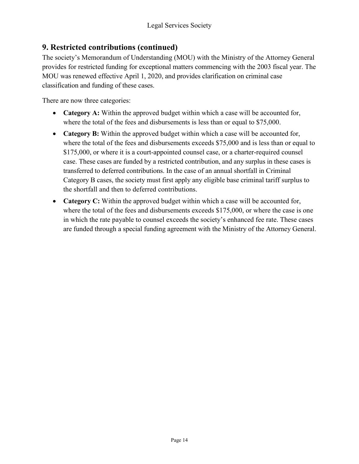# **9. Restricted contributions (continued)**

The society's Memorandum of Understanding (MOU) with the Ministry of the Attorney General provides for restricted funding for exceptional matters commencing with the 2003 fiscal year. The MOU was renewed effective April 1, 2020, and provides clarification on criminal case classification and funding of these cases.

There are now three categories:

- **Category A:** Within the approved budget within which a case will be accounted for, where the total of the fees and disbursements is less than or equal to \$75,000.
- **Category B:** Within the approved budget within which a case will be accounted for, where the total of the fees and disbursements exceeds \$75,000 and is less than or equal to \$175,000, or where it is a court-appointed counsel case, or a charter-required counsel case. These cases are funded by a restricted contribution, and any surplus in these cases is transferred to deferred contributions. In the case of an annual shortfall in Criminal Category B cases, the society must first apply any eligible base criminal tariff surplus to the shortfall and then to deferred contributions.
- **Category C:** Within the approved budget within which a case will be accounted for, where the total of the fees and disbursements exceeds \$175,000, or where the case is one in which the rate payable to counsel exceeds the society's enhanced fee rate. These cases are funded through a special funding agreement with the Ministry of the Attorney General.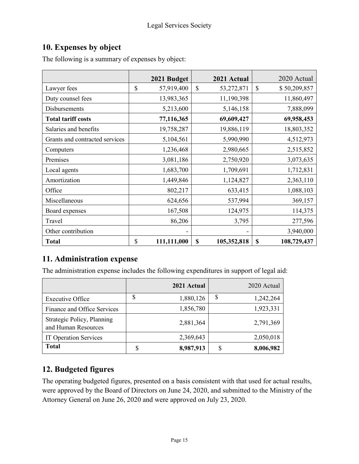# **10. Expenses by object**

The following is a summary of expenses by object:

|                                | 2021 Budget       | 2021 Actual       | 2020 Actual        |
|--------------------------------|-------------------|-------------------|--------------------|
| Lawyer fees                    | \$<br>57,919,400  | \$<br>53,272,871  | \$<br>\$50,209,857 |
| Duty counsel fees              | 13,983,365        | 11,190,398        | 11,860,497         |
| Disbursements                  | 5,213,600         | 5,146,158         | 7,888,099          |
| <b>Total tariff costs</b>      | 77,116,365        | 69,609,427        | 69,958,453         |
| Salaries and benefits          | 19,758,287        | 19,886,119        | 18,803,352         |
| Grants and contracted services | 5,104,561         | 5,990,990         | 4,512,973          |
| Computers                      | 1,236,468         | 2,980,665         | 2,515,852          |
| Premises                       | 3,081,186         | 2,750,920         | 3,073,635          |
| Local agents                   | 1,683,700         | 1,709,691         | 1,712,831          |
| Amortization                   | 1,449,846         | 1,124,827         | 2,363,110          |
| Office                         | 802,217           | 633,415           | 1,088,103          |
| Miscellaneous                  | 624,656           | 537,994           | 369,157            |
| Board expenses                 | 167,508           | 124,975           | 114,375            |
| Travel                         | 86,206            | 3,795             | 277,596            |
| Other contribution             |                   |                   | 3,940,000          |
| <b>Total</b>                   | \$<br>111,111,000 | \$<br>105,352,818 | \$<br>108,729,437  |

# **11. Administration expense**

The administration expense includes the following expenditures in support of legal aid:

|                                                   |    | 2021 Actual |    | 2020 Actual |
|---------------------------------------------------|----|-------------|----|-------------|
| <b>Executive Office</b>                           | \$ | 1,880,126   | \$ | 1,242,264   |
| Finance and Office Services                       |    | 1,856,780   |    | 1,923,331   |
| Strategic Policy, Planning<br>and Human Resources |    | 2,881,364   |    | 2,791,369   |
| <b>IT Operation Services</b>                      |    | 2,369,643   |    | 2,050,018   |
| <b>Total</b>                                      | S  | 8,987,913   | J. | 8,006,982   |

# **12. Budgeted figures**

The operating budgeted figures, presented on a basis consistent with that used for actual results, were approved by the Board of Directors on June 24, 2020, and submitted to the Ministry of the Attorney General on June 26, 2020 and were approved on July 23, 2020.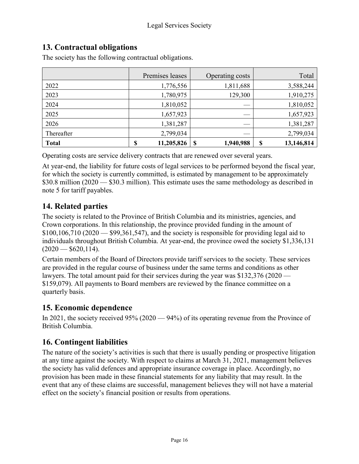# **13. Contractual obligations**

| The society has the following contractual obligations. |  |
|--------------------------------------------------------|--|
|--------------------------------------------------------|--|

|              | Premises leases  | Operating costs | Total            |
|--------------|------------------|-----------------|------------------|
| 2022         | 1,776,556        | 1,811,688       | 3,588,244        |
| 2023         | 1,780,975        | 129,300         | 1,910,275        |
| 2024         | 1,810,052        |                 | 1,810,052        |
| 2025         | 1,657,923        |                 | 1,657,923        |
| 2026         | 1,381,287        |                 | 1,381,287        |
| Thereafter   | 2,799,034        |                 | 2,799,034        |
| <b>Total</b> | 11,205,826<br>\$ | \$<br>1,940,988 | 13,146,814<br>\$ |

Operating costs are service delivery contracts that are renewed over several years.

At year-end, the liability for future costs of legal services to be performed beyond the fiscal year, for which the society is currently committed, is estimated by management to be approximately \$30.8 million (2020 — \$30.3 million). This estimate uses the same methodology as described in note 5 for tariff payables.

# **14. Related parties**

The society is related to the Province of British Columbia and its ministries, agencies, and Crown corporations. In this relationship, the province provided funding in the amount of  $$100,106,710 (2020 - $99,361,547)$ , and the society is responsible for providing legal aid to individuals throughout British Columbia. At year-end, the province owed the society \$1,336,131  $(2020 - $620,114).$ 

Certain members of the Board of Directors provide tariff services to the society. These services are provided in the regular course of business under the same terms and conditions as other lawyers. The total amount paid for their services during the year was \$132,376 (2020 — \$159,079). All payments to Board members are reviewed by the finance committee on a quarterly basis.

# **15. Economic dependence**

In 2021, the society received 95% (2020 — 94%) of its operating revenue from the Province of British Columbia.

# **16. Contingent liabilities**

The nature of the society's activities is such that there is usually pending or prospective litigation at any time against the society. With respect to claims at March 31, 2021, management believes the society has valid defences and appropriate insurance coverage in place. Accordingly, no provision has been made in these financial statements for any liability that may result. In the event that any of these claims are successful, management believes they will not have a material effect on the society's financial position or results from operations.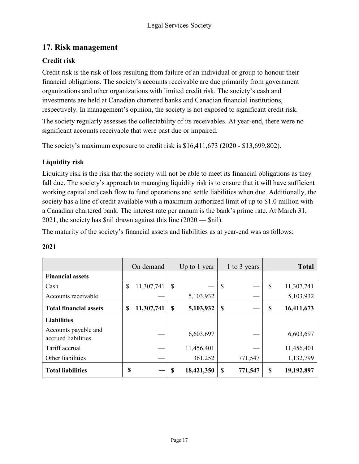# **17. Risk management**

# **Credit risk**

Credit risk is the risk of loss resulting from failure of an individual or group to honour their financial obligations. The society's accounts receivable are due primarily from government organizations and other organizations with limited credit risk. The society's cash and investments are held at Canadian chartered banks and Canadian financial institutions, respectively. In management's opinion, the society is not exposed to significant credit risk.

The society regularly assesses the collectability of its receivables. At year-end, there were no significant accounts receivable that were past due or impaired.

The society's maximum exposure to credit risk is \$16,411,673 (2020 - \$13,699,802).

# **Liquidity risk**

Liquidity risk is the risk that the society will not be able to meet its financial obligations as they fall due. The society's approach to managing liquidity risk is to ensure that it will have sufficient working capital and cash flow to fund operations and settle liabilities when due. Additionally, the society has a line of credit available with a maximum authorized limit of up to \$1.0 million with a Canadian chartered bank. The interest rate per annum is the bank's prime rate. At March 31, 2021, the society has \$nil drawn against this line (2020 — \$nil).

The maturity of the society's financial assets and liabilities as at year-end was as follows:

### **2021**

|                                             | On demand        |    | Up to 1 year |                           | 1 to 3 years |             | <b>Total</b> |
|---------------------------------------------|------------------|----|--------------|---------------------------|--------------|-------------|--------------|
| <b>Financial assets</b>                     |                  |    |              |                           |              |             |              |
| Cash                                        | 11,307,741<br>\$ | \$ |              | $\boldsymbol{\mathsf{S}}$ |              | \$          | 11,307,741   |
| Accounts receivable                         |                  |    | 5,103,932    |                           |              |             | 5,103,932    |
| <b>Total financial assets</b>               | 11,307,741<br>S  | \$ | 5,103,932    | <sup>\$</sup>             |              | \$          | 16,411,673   |
| <b>Liabilities</b>                          |                  |    |              |                           |              |             |              |
| Accounts payable and<br>accrued liabilities |                  |    | 6,603,697    |                           |              |             | 6,603,697    |
| Tariff accrual                              |                  |    | 11,456,401   |                           |              |             | 11,456,401   |
| Other liabilities                           |                  |    | 361,252      |                           | 771,547      |             | 1,132,799    |
| <b>Total liabilities</b>                    | \$               | S  | 18,421,350   | \$                        | 771,547      | $\mathbf S$ | 19,192,897   |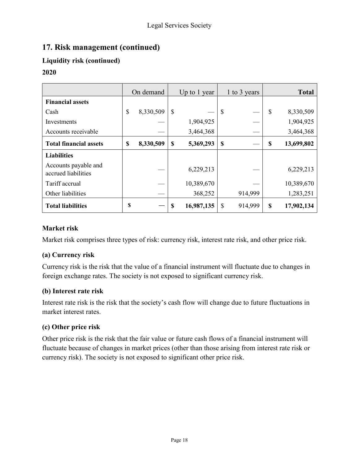# **17. Risk management (continued)**

# **Liquidity risk (continued)**

### **2020**

|                                             | On demand |           | Up to 1 year |            | 1 to 3 years  |         | <b>Total</b>  |            |
|---------------------------------------------|-----------|-----------|--------------|------------|---------------|---------|---------------|------------|
| <b>Financial assets</b>                     |           |           |              |            |               |         |               |            |
| Cash                                        | \$        | 8,330,509 | \$           |            | $\mathcal{S}$ |         | $\mathcal{S}$ | 8,330,509  |
| Investments                                 |           |           |              | 1,904,925  |               |         |               | 1,904,925  |
| Accounts receivable                         |           |           |              | 3,464,368  |               |         |               | 3,464,368  |
| <b>Total financial assets</b>               | \$        | 8,330,509 | \$           | 5,369,293  | \$            |         | \$            | 13,699,802 |
| <b>Liabilities</b>                          |           |           |              |            |               |         |               |            |
| Accounts payable and<br>accrued liabilities |           |           |              | 6,229,213  |               |         |               | 6,229,213  |
| Tariff accrual                              |           |           |              | 10,389,670 |               |         |               | 10,389,670 |
| Other liabilities                           |           |           |              | 368,252    |               | 914,999 |               | 1,283,251  |
| <b>Total liabilities</b>                    | \$        |           | S            | 16,987,135 | \$            | 914,999 | $\mathbf S$   | 17,902,134 |

### **Market risk**

Market risk comprises three types of risk: currency risk, interest rate risk, and other price risk.

### **(a) Currency risk**

Currency risk is the risk that the value of a financial instrument will fluctuate due to changes in foreign exchange rates. The society is not exposed to significant currency risk.

### **(b) Interest rate risk**

Interest rate risk is the risk that the society's cash flow will change due to future fluctuations in market interest rates.

### **(c) Other price risk**

Other price risk is the risk that the fair value or future cash flows of a financial instrument will fluctuate because of changes in market prices (other than those arising from interest rate risk or currency risk). The society is not exposed to significant other price risk.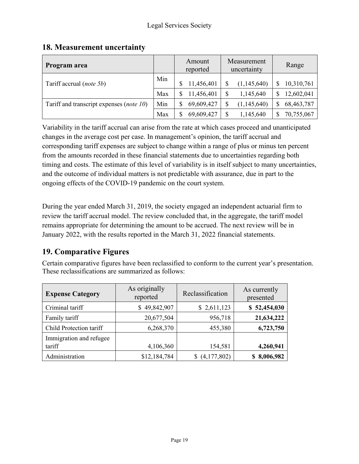# **18. Measurement uncertainty**

| Program area                                      |     | Amount<br>reported | Measurement<br>uncertainty | Range        |
|---------------------------------------------------|-----|--------------------|----------------------------|--------------|
| Tariff accrual (note 5b)                          | Min | 11,456,401         | (1,145,640)<br>\$          | 10,310,761   |
|                                                   | Max | 11,456,401         | \$<br>1,145,640            | 12,602,041   |
| Tariff and transcript expenses ( <i>note 10</i> ) | Min | 69,609,427         | (1,145,640)<br>\$          | 68, 463, 787 |
|                                                   | Max | 69,609,427         | \$<br>1,145,640            | 70,755,067   |

Variability in the tariff accrual can arise from the rate at which cases proceed and unanticipated changes in the average cost per case. In management's opinion, the tariff accrual and corresponding tariff expenses are subject to change within a range of plus or minus ten percent from the amounts recorded in these financial statements due to uncertainties regarding both timing and costs. The estimate of this level of variability is in itself subject to many uncertainties, and the outcome of individual matters is not predictable with assurance, due in part to the ongoing effects of the COVID-19 pandemic on the court system.

During the year ended March 31, 2019, the society engaged an independent actuarial firm to review the tariff accrual model. The review concluded that, in the aggregate, the tariff model remains appropriate for determining the amount to be accrued. The next review will be in January 2022, with the results reported in the March 31, 2022 financial statements.

# **19. Comparative Figures**

Certain comparative figures have been reclassified to conform to the current year's presentation. These reclassifications are summarized as follows:

| <b>Expense Category</b>           | As originally<br>reported | Reclassification | As currently<br>presented |
|-----------------------------------|---------------------------|------------------|---------------------------|
| Criminal tariff                   | \$49,842,907              | \$2,611,123      | \$52,454,030              |
| Family tariff                     | 20,677,504                | 956,718          | 21,634,222                |
| Child Protection tariff           | 6,268,370                 | 455,380          | 6,723,750                 |
| Immigration and refugee<br>tariff | 4,106,360                 | 154,581          | 4,260,941                 |
| Administration                    | \$12,184,784              | (4,177,802)      | 8,006,982                 |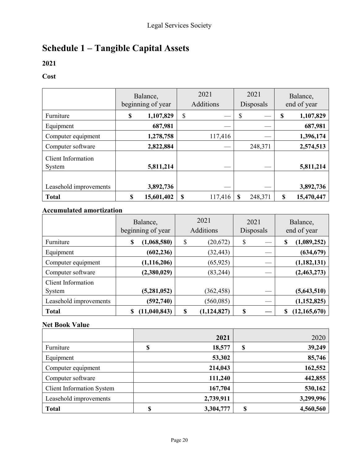# **Schedule 1 – Tangible Capital Assets**

# **2021**

# **Cost**

|                                     | Balance,<br>beginning of year |            | 2021<br>Additions |         | 2021<br>Disposals |         | Balance,<br>end of year |            |
|-------------------------------------|-------------------------------|------------|-------------------|---------|-------------------|---------|-------------------------|------------|
| Furniture                           | \$                            | 1,107,829  | $\mathcal{S}$     |         | \$                |         | \$                      | 1,107,829  |
| Equipment                           |                               | 687,981    |                   |         |                   |         |                         | 687,981    |
| Computer equipment                  |                               | 1,278,758  |                   | 117,416 |                   |         |                         | 1,396,174  |
| Computer software                   |                               | 2,822,884  |                   |         |                   | 248,371 |                         | 2,574,513  |
| <b>Client Information</b><br>System |                               | 5,811,214  |                   |         |                   |         |                         | 5,811,214  |
|                                     |                               |            |                   |         |                   |         |                         |            |
| Leasehold improvements              |                               | 3,892,736  |                   |         |                   |         |                         | 3,892,736  |
| <b>Total</b>                        | \$                            | 15,601,402 | S                 | 117,416 |                   | 248,371 | \$                      | 15,470,447 |

# **Accumulated amortization**

|                           | Balance,<br>beginning of year |    | 2021<br>Additions |    | 2021<br>Disposals |    | Balance,<br>end of year |  |
|---------------------------|-------------------------------|----|-------------------|----|-------------------|----|-------------------------|--|
| Furniture                 | \$<br>(1,068,580)             | \$ | (20,672)          | \$ |                   | \$ | (1,089,252)             |  |
| Equipment                 | (602, 236)                    |    | (32, 443)         |    |                   |    | (634, 679)              |  |
| Computer equipment        | (1, 116, 206)                 |    | (65, 925)         |    |                   |    | (1, 182, 131)           |  |
| Computer software         | (2,380,029)                   |    | (83, 244)         |    |                   |    | (2,463,273)             |  |
| <b>Client Information</b> |                               |    |                   |    |                   |    |                         |  |
| System                    | (5, 281, 052)                 |    | (362, 458)        |    |                   |    | (5,643,510)             |  |
| Leasehold improvements    | (592, 740)                    |    | (560, 085)        |    |                   |    | (1, 152, 825)           |  |
| <b>Total</b>              | \$<br>(11,040,843)            |    | (1, 124, 827)     | \$ |                   | S  | (12, 165, 670)          |  |

### **Net Book Value**

|                                  | 2021            | 2020            |
|----------------------------------|-----------------|-----------------|
| Furniture                        | \$<br>18,577    | \$<br>39,249    |
| Equipment                        | 53,302          | 85,746          |
| Computer equipment               | 214,043         | 162,552         |
| Computer software                | 111,240         | 442,855         |
| <b>Client Information System</b> | 167,704         | 530,162         |
| Leasehold improvements           | 2,739,911       | 3,299,996       |
| <b>Total</b>                     | \$<br>3,304,777 | \$<br>4,560,560 |